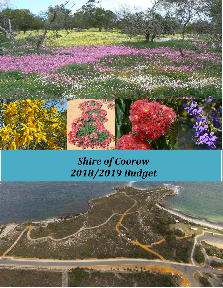

# *Shire of Coorow 2018/2019 Budget*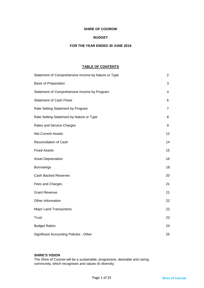### **SHIRE OF COOROW**

### **BUDGET**

### **FOR THE YEAR ENDED 30 JUNE 2019**

### **TABLE OF CONTENTS**

| Statement of Comprehensive Income by Nature or Type | $\overline{2}$ |
|-----------------------------------------------------|----------------|
| <b>Basis of Preparation</b>                         | 3              |
| Statement of Comprehensive Income by Program        | 4              |
| <b>Statement of Cash Flows</b>                      | 6              |
| Rate Setting Statement by Program                   | $\overline{7}$ |
| Rate Setting Statement by Nature or Type            | 8              |
| Rates and Service Charges                           | 9              |
| <b>Net Current Assets</b>                           | 12             |
| Reconciliation of Cash                              | 14             |
| <b>Fixed Assets</b>                                 | 15             |
| <b>Asset Depreciation</b>                           | 16             |
| <b>Borrowings</b>                                   | 18             |
| <b>Cash Backed Reserves</b>                         | 20             |
| Fees and Charges                                    | 21             |
| <b>Grant Revenue</b>                                | 21             |
| Other Information                                   | 22             |
| <b>Major Land Transactions</b>                      | 22             |
| <b>Trust</b>                                        | 23             |
| <b>Budget Ratios</b>                                | 24             |
| <b>Significant Accounting Policies - Other</b>      | 25             |

### **SHIRE'S VISION**

The Shire of Coorow will be a sustainable, progressive, desirable and caring community, which recognises and values its diversity.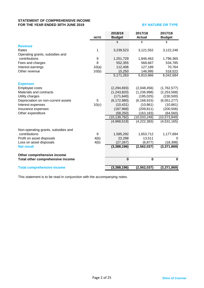### **STATEMENT OF COMPREHENSIVE INCOME FOR THE YEAR ENDED 30TH JUNE 2019 BY NATURE OR TYPE**

|                                     | <b>NOTE</b> | 2018/19<br><b>Budget</b> | 2017/18<br><b>Actual</b> | 2017/18<br><b>Budget</b> |
|-------------------------------------|-------------|--------------------------|--------------------------|--------------------------|
|                                     |             | \$                       | \$                       | \$                       |
| <b>Revenue</b>                      |             |                          |                          |                          |
| Rates                               | 1           | 3,239,523                | 3,121,552                | 3,122,248                |
| Operating grants, subsidies and     |             |                          |                          |                          |
| contributions                       | 9           | 1,251,729                | 1,846,463                | 1,796,365                |
| Fees and charges                    | 8           | 552,355                  | 568,667                  | 534,785                  |
| Interest earnings                   | 10(a)       | 112,406                  | 127,189                  | 70,764                   |
| Other revenue                       | 10(b)       | 15,250                   | 146,995                  | 518,522                  |
|                                     |             | 5,171,263                | 5,810,866                | 6,042,684                |
|                                     |             |                          |                          |                          |
| <b>Expenses</b><br>Employee costs   |             | (2,294,693)              | (2,048,456)              | (1,762,577)              |
| Materials and contracts             |             | (1,243,820)              | (1,236,998)              | (2,253,568)              |
| Utility charges                     |             | (171, 640)               | (195, 025)               | (230, 500)               |
| Depreciation on non-current assets  | 5           | (6, 172, 980)            | (6, 168, 915)            | (6,051,277)              |
| Interest expenses                   | 10(c)       | (10, 431)                | (10, 861)                | (10, 861)                |
| Insurance expenses                  |             | (187,968)                | (209, 811)               | (200, 506)               |
| Other expenditure                   |             | (58, 250)                | (163, 183)               | (64, 560)                |
|                                     |             | (10, 139, 782)           | (10, 033, 249)           | (10, 573, 849)           |
|                                     |             | (4,968,519)              | (4, 222, 383)            | (4,531,165)              |
|                                     |             |                          |                          |                          |
| Non-operating grants, subsidies and |             |                          |                          |                          |
| contributions                       | 9           | 1,585,292                | 1,653,712                | 1,177,694                |
| Profit on asset disposals           | 4(b)        | 22,298                   | 13,511                   | 0                        |
| Loss on asset disposals             | 4(b)        | (27, 267)                | (6, 877)                 | (18, 398)                |
| <b>Net result</b>                   |             | (3,388,196)              | (2, 562, 037)            | (3,371,869)              |
| Other comprehensive income          |             |                          |                          |                          |
| Total other comprehensive income    |             | $\bf{0}$                 | $\mathbf 0$              | $\mathbf 0$              |
|                                     |             |                          |                          |                          |
| <b>Total comprehensive income</b>   |             | (3,388,196)              | (2, 562, 037)            | (3,371,869)              |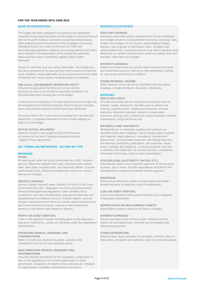### **FOR THE YEAR ENDED 30TH JUNE 2019**

The budget has been prepared in accordance with applicable **FEES AND CHARGES** Australian Accounting Standards (as they apply to local government and not-for-profit entities), Australian Accounting Interpretations, other authorative pronouncements of the Australian Accounting<br>Standards Board, the Local Government Act 1995 and accompanying regulations. Material accounting policies which have been adopted in the preparation of this budget are presented detail such as rubbish collection fees, rental of property, fines and below and have been consistently applied unless stated penalties, other fees and charges. otherwise.

Except for cash flow and rate setting information, the budget has also been prepared on the accrual basis and is based on historical and investment accounts, interest on rate instalments, interest costs. modified, where applicable, by the measurement at fair value on rate arrears and int costs, modified, where applicable, by the measurement at fair value of selected non-current assets, financial assets and liabilities.

resources to carry on its functions have been included in the financial statements forming part of this budget. **EXPENSES**

In the process of reporting on the local government as a single unit, All costs associated with the employment of person such as all transactions and balances between those Funds (for example, salaries, wages, allowances, benefits such as vehicle and

statements. A separate statement of those monies appears at Note 14 to the budget.

### **RATES**

All rates levied under the *Local Government Act 1995* . Includes **UTILITIES (GAS, ELECTRICITY, WATER, ETC.)** general, differential, specific area rates, minimum rates, interim Expenditures made to the respective agencies for the provision<br>
rates, back rates, ex-gratia rates, less discounts offered. Exclude of power, gas or water. administration fees, interest on instalments, interest on arrears and service charges.

Service charges imposed under Division 6 of Part 6 of the Local *Government Act 1995* . Regulation 54 of the *Local Government (Financial Management) Regulations 1996* identifies these **LOSS ON ASSET DISPOSAL** as television and radio broadcasting, underground electricity and Loss on the disposal of fixed assets includes loss on disposal neighbourhood surveillance services. Exclude rubbish removal of long term investments. charges. Interest and other items of a similar nature received from bank and investment accounts, interest on rate instalments, **DEPRECIATION ON NON-CURRENT ASSETS**

**PROFIT ON ASSET DISPOSAL**<br>**Profit on the disposal of assets including gains on the disposal of linterest and other costs of finance paid, including costs of** Profit on the disposal of assets including gains on the disposal of long term investments. Losses are disclosed under the expenditure finance for loan debentures, overdraft accommodation and classifications. The contraction of the contraction of the contraction of the contraction of the contraction of the contraction of the contraction of the contraction of the contraction of the contraction of the contraction

## **OPERATING GRANTS, SUBSIDIES AND <b>OTHER EXPENDITURE**<br> **CONTRIBUTIONS** CONTRIBUTIONS

contributions that are not non-operating grants.

### **NON-OPERATING GRANTS, SUBSIDIES AND CONTRIBUTIONS**

Amounts received specifically for the acquisition, construction of new or the upgrading of non-current assets paid to a local government, irrespective of whether these amounts are received as capital grants, subsidies, contributions or donations.

### **BASIS OF PREPARATION REVENUES (CONTINUED)**

and charges made for local government services, sewerage rates, rentals, hire charges, fee for service, photocopying charges, licences, sale of goods or information, fines, penalties and<br>administration fees. Local governments may wish to disclose more

**INTEREST EARNINGS**<br>Interest and other items of a similar nature received from bank

### **OTHER REVENUE / INCOME**

**THE LOCAL GOVERNMENT REPORTING ENTITY** Other revenue, which can not be classified under the above All funds through which the Shire of Coorow controls beadings, includes dividends, discounts, rebates etc. headings, includes dividends, discounts, rebates etc.

### **EMPLOYEE COSTS**

housing, superannuation, employment expenses, removal expenses, relocation expenses, worker's compensation All monies held in the Trust Fund are excluded from the financial insurance, training costs, conferences, safety expenses, medical statements. A separate statement of those monies appears at examinations, fringe benefit ta

### **MATERIALS AND CONTRACTS**

**2017/18 ACTUAL BALANCES All expenditures on materials, supplies and contracts not Balances shown in this budget as 2017/18 Actual are <b>All expenditures on materials, supplies and contracts not Balances shown in this b** Balances shown in this budget as 2017/18 Actual are classified under other headings. These include supply of goods as forecast at the time of budget preparation and are and materials, legal expenses, consultancy, maintenan as forecast at the time of budget preparation and are and materials, legal expenses, consultancy, maintenance<br>subject to final adjustments.<br>
agreements, communication expenses, advertising expen agreements, communication expenses, advertising expenses, membership, periodicals, publications, hire expenses, rental, **KEY TERMS AND DEFINITIONS - NATURE OR TYPE** leases, postage and freight etc. Local governments may wish to disclose more detail such as contract services, consultancy, **REVENUES information technology, rental or lease expenditures. information technology, rental or lease expenditures.** 

of power, gas or water. Exclude expenditures incurred for the reinstatement of roadwork on behalf of these agencies.

### **INSURANCE**

**SERVICE CHARGES** All insurance other than worker's compensation and health<br>Service charges imposed under Division 6 of Part 6 of the *Local* benefit insurance included as a cost of employment.

Depreciation expense raised on all classes of assets.

Statutory fees, taxes, provision for bad debts, member's fees or Refer to all amounts received as grants, subsidies and State taxes. Donations and subsidies made to community groups.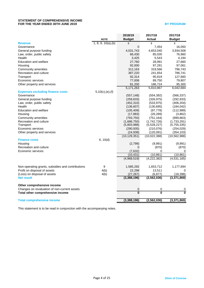### **STATEMENT OF COMPREHENSIVE INCOME FOR THE YEAR ENDED 30TH JUNE 2019 BY PROGRAM**

|                                                   |                     | 2018/19                 | 2017/18        | 2017/18        |
|---------------------------------------------------|---------------------|-------------------------|----------------|----------------|
|                                                   | <b>NOTE</b>         | <b>Budget</b>           | <b>Actual</b>  | <b>Budget</b>  |
| <b>Revenue</b>                                    | 1, 8, 9, 10(a), (b) | \$                      | \$             | \$             |
| Governance                                        |                     | 0                       | 7,454          | 16,050         |
| General purpose funding                           |                     | 4,031,743               | 4,653,040      | 3,934,508      |
| Law, order, public safety                         |                     | 66,430                  | 85,035         | 76,960         |
| Health                                            |                     | 3,425                   | 5,543          | 4,194          |
| Education and welfare                             |                     | 27,760                  | 28,991         | 27,660         |
| Housing                                           |                     | 92,000                  | 97,291         | 97,061         |
| Community amenities                               |                     | 312,163                 | 319,566        | 796,743        |
| Recreation and culture                            |                     | 387,220                 | 241,654        | 786,741        |
| Transport                                         |                     | 92,314                  | 95,819         | 127,660        |
| Economic services                                 |                     | 77,008                  | 89,750         | 79,807         |
| Other property and services                       |                     | 81,200                  | 186,724        | 95,300         |
|                                                   |                     | 5,171,263               | 5,810,867      | 6,042,684      |
| <b>Expenses excluding finance costs</b>           | 5,10(c),(e),(f)     |                         |                |                |
| Governance                                        |                     | (557, 148)              | (554, 392)     | (566, 337)     |
| General purpose funding                           |                     | (259, 633)              | (326, 975)     | (292, 933)     |
| Law, order, public safety                         |                     | (452, 310)              | (533, 975)     | (406, 204)     |
| Health                                            |                     | (136, 607)              | (130, 695)     | (184, 042)     |
| <b>Education and welfare</b>                      |                     | (105, 409)              | (97, 778)      | (112,989)      |
| Housing                                           |                     | (17, 883)               | (26, 289)      | (3,862)        |
| Community amenities                               |                     | (793, 750)              | (751, 164)     | (899, 863)     |
| Recreation and culture                            |                     | (1,686,750)             | (1,742,726)    | (1,733,291)    |
| Transport                                         |                     | (5,803,988)             | (5,528,227)    | (5,755,335)    |
| Economic services                                 |                     | (290, 935)              | (210, 076)     | (254, 029)     |
| Other property and services                       |                     | (24, 938)               | (120, 091)     | (354, 103)     |
|                                                   |                     | (10, 129, 351)          | (10,022,388)   | (10, 562, 988) |
| <b>Finance costs</b>                              | 6, 10(d)            |                         |                |                |
| Housing                                           |                     | (2,799)                 | (9,991)        | (9,991)        |
| Recreation and culture                            |                     | 0                       | (870)          | (870)          |
| Economic services                                 |                     | (7,632)                 | 0              | 0              |
|                                                   |                     | (10, 431)               | (10, 861)      | (10, 861)      |
|                                                   |                     | (4,968,519)             | (4,222,382)    | (4,531,165)    |
| Non-operating grants, subsidies and contributions | 9                   | 1,585,292               | 1,653,712      | 1,177,694      |
| Profit on disposal of assets                      | 4(b)                | 22,298                  | 13,511         |                |
| (Loss) on disposal of assets                      | 4(b)                | (27, 267)               | (6, 877)       | (18, 398)      |
| <b>Net result</b>                                 |                     | (3,388,196)             | (2, 562, 036)  | (3,371,869)    |
| Other comprehensive income                        |                     |                         |                |                |
| Changes on revaluation of non-current assets      |                     | 0                       | 0              | 0              |
| Total other comprehensive income                  |                     | $\overline{\mathbf{0}}$ | $\overline{0}$ | $\overline{0}$ |
| <b>Total comprehensive income</b>                 |                     | (3,388,196)             | (2,562,036)    | (3,371,869)    |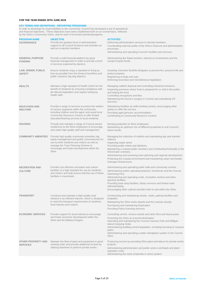### **FOR THE YEAR ENDED 30TH JUNE 2019**

### **KEY TERMS AND DEFINITIONS - REPORTING PROGRAMS**

In order to discharge its responsibilities to the community, Council has developed a set of operational and financial objectives. These objectives have been established both on an overall basis, reflected by the Shire's Community Vision, and for each of its broad activities/programs.

| <b>PROGRAM NAME</b><br><b>GOVERNANCE</b>     | <b>OBJECTIVE</b><br>Provide the greatest level of administrative<br>support to all Council functions and activities as<br>well as to elected members.                                                                                                  | <b>ACTIVITIES</b><br>Delivering administration services to elected members.<br>Coordinating external audits of the Shire's finances and administrative<br>processes.<br>Administering and operating Council's facilities and services.                                                                                                                                                                                                  |
|----------------------------------------------|--------------------------------------------------------------------------------------------------------------------------------------------------------------------------------------------------------------------------------------------------------|-----------------------------------------------------------------------------------------------------------------------------------------------------------------------------------------------------------------------------------------------------------------------------------------------------------------------------------------------------------------------------------------------------------------------------------------|
| <b>GENERAL PURPOSE</b><br><b>FUNDING</b>     | Provide a solid financial platform by good<br>financial management in order to provide a level<br>of services expected by electors.                                                                                                                    | Administering the Rates function, interest on investments and the<br>receipt of grant funds.                                                                                                                                                                                                                                                                                                                                            |
| LAW, ORDER, PUBLIC<br><b>SAFETY</b>          | Ensure residents enjoy a standard of living as<br>free as possible from the threat of bushfires and<br>public nuisance (eg dog attacks).                                                                                                               | Assisting Volunteer Bushfire Brigades to prevent fire, preserve life and<br>protect property.<br>Registering of dogs and cats.<br>Enforcing local laws and miscellaneous legislation.                                                                                                                                                                                                                                                   |
| <b>HEALTH</b>                                | Maintain a high standard of health control for the<br>benefit of residents by ensuring compliance with<br>all relevant legislation and regular testing by<br>health staff.                                                                             | Managing rubbish disposal and controlling industrial emissions.<br>Inspecting premises where food is prepared for or sold to the public,<br>and testing the food.<br>Controlling mosquitoes and flies.<br>Maintaining the Doctor's surgery in Coorow and subsidising GP<br>Services.                                                                                                                                                    |
| <b>EDUCATION AND</b><br><b>WELFARE</b>       | Provide a range of services to protect the welfare<br>of various segments within the community,<br>including children and the aged, and assist local<br>Community Resource Centres to offer limited<br>education/training services to local residents. | Maintaining facilities as child minding centres, encouraging other<br>parties to offer this service.<br>Providing aged persons' accommodation.<br>Contributing to Community Resource Centres.                                                                                                                                                                                                                                           |
| <b>HOUSING</b>                               | Provide and maintain a range of Council-owned<br>residences to the Shire employees to encourage<br>and retain high quality staff and management.                                                                                                       | Renting properties to Shire employees.<br>Maintaining an optimum mix of different properties to suit Council's<br>future needs.                                                                                                                                                                                                                                                                                                         |
| <b>COMMUNITY AMENITIES</b>                   | Provide high quality community amenities (eg<br>waste management and public conveniences) for<br>use by both residents and visitors as well as<br>manage the Town Planning Scheme to<br>encourage and foster development within the<br>Shire.          | Managing the collection of rubbish and maintaining tips and transfer<br>stations.<br>Inspecting septic tanks.<br>Providing public toilets and ablutions.<br>Maintaining a coastal public cemetery and contributing financially to the<br>Winchester cemetery.<br>Administering and reviewing town planning and regional development.<br>Protecting the coastal environment and maintaining urban stormwater<br>drainage infrastructure. |
| <b>RECREATION AND</b><br><b>CULTURE</b>      | Provide cost effective recreation and culture<br>facilities of a high standard for use by residents<br>and visitors and help ensure that the use of these<br>facilities is maximised.                                                                  | Administering and operating public halls and community centres.<br>Administering and/or operating beaches, foreshores and the Coorow<br>Swimming Pool.<br>Administering and operating ovals, recreation centres and other<br>sporting facilities.<br>Providing boat ramp facilities, library services and limited radio<br>rebroadcasting.<br>Encouraging other cultural activities both to and within the Shire.                       |
| <b>TRANSPORT</b>                             | Construct and maintain a high quality road<br>network in an efficient manner, which is designed<br>to meet the transport requirements of residents,<br>local industry and visitors.                                                                    | Constructing and maintaining streets, roads, parking facilities and<br>footpaths.<br>Maintaining the Shire works depots and the Leeman airstrip.<br>Purchasing and maintaining Road plant.<br>Providing Police licensing services.                                                                                                                                                                                                      |
| <b>ECONOMIC SERVICES</b>                     | Provide support for local industry to encourage<br>and foster economic development within the<br>Shire and the Midwest Region.                                                                                                                         | Controlling vermin, noxious weeds and other flora and fauna pests.<br>Promoting the Shire as a tourist destination.<br>Operating and maintaining the Coorow Caravan Park and Milligan<br>Island Camping Node.<br>Administering building control legislation, including licensing of caravan<br>parks.<br>Administering and operating a water standpipes system in the Coorow<br>Shire.                                                  |
| <b>OTHER PROPERTY AND</b><br><b>SERVICES</b> | Maintain the fleet of plant and equipment in good<br>working order and provide additional income by<br>utilising downtime to perform private works.                                                                                                    | Producing income by providing Shire plant and labour for private works<br>projects.<br>Administering administration and public works overheads and plant<br>operation costs.<br>Administering the stock (materials in store) system.                                                                                                                                                                                                    |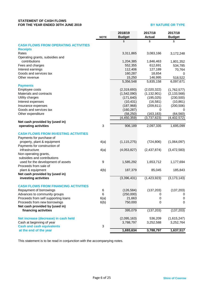### **STATEMENT OF CASH FLOWS FOR THE YEAR ENDED 30TH JUNE 2019**

### **BY NATURE OR TYPE**

|                                             |             | 2018/19       | 2017/18       | 2017/18               |
|---------------------------------------------|-------------|---------------|---------------|-----------------------|
|                                             | <b>NOTE</b> | <b>Budget</b> | <b>Actual</b> | <b>Budget</b>         |
|                                             |             | \$            | \$            | \$                    |
| <b>CASH FLOWS FROM OPERATING ACTIVITIES</b> |             |               |               |                       |
| <b>Receipts</b><br>Rates                    |             | 3,311,865     |               |                       |
| Operating grants, subsidies and             |             |               | 3,083,166     | 3,172,248             |
| contributions                               |             | 1,204,385     | 1,846,463     | 1,801,352             |
| Fees and charges                            |             | 552,355       | 612,691       | 534,785               |
| Interest earnings                           |             | 112,406       | 127,189       | 70,764                |
| Goods and services tax                      |             | 160,287       | 18,654        | 0                     |
| Other revenue                               |             | 15,250        | 146,995       | 518,522               |
|                                             |             | 5,356,548     | 5,835,158     | 6,097,671             |
| <b>Payments</b>                             |             |               |               |                       |
| Employee costs                              |             | (2,319,693)   | (2,020,322)   | (1,762,577)           |
| Materials and contracts                     |             | (1,542,090)   | (1, 132, 901) | (2, 133, 568)         |
| Utility charges                             |             | (171, 640)    | (195, 025)    | (230, 500)            |
| Interest expenses                           |             | (10, 431)     | (16, 581)     | (10, 861)             |
| Insurance expenses                          |             | (187,968)     | (209, 811)    | (200, 506)            |
| Goods and services tax                      |             | (160, 287)    | 0             |                       |
| Other expenditure                           |             | (58, 250)     | (163, 183)    | (64, 560)             |
|                                             |             | (4, 450, 359) | (3,737,823)   | (4,402,572)           |
| Net cash provided by (used in)              |             |               |               |                       |
| operating activities                        | 3           | 906,189       | 2,097,335     | 1,695,099             |
| <b>CASH FLOWS FROM INVESTING ACTIVITIES</b> |             |               |               |                       |
| Payments for purchase of                    |             |               |               |                       |
| property, plant & equipment                 | 4(a)        | (1, 115, 275) | (724, 806)    | (1,064,097)           |
| Payments for construction of                |             |               |               |                       |
| infrastructure                              | 4(a)        | (4,053,827)   | (2,437,874)   | (3,472,583)           |
| Non-operating grants,                       |             |               |               |                       |
| subsidies and contributions                 |             |               |               |                       |
| used for the development of assets          | 9           | 1,585,292     | 1,653,712     | 1,177,694             |
| Proceeds from sale of                       |             |               |               |                       |
| plant & equipment                           | 4(b)        | 187,379       | 85,045        | 185,843               |
| Net cash provided by (used in)              |             |               |               |                       |
| investing activities                        |             | (3,396,431)   | (1,423,923)   | (3, 173, 143)         |
| <b>CASH FLOWS FROM FINANCING ACTIVITIES</b> |             |               |               |                       |
| Repayment of borrowings                     | 6           | (126, 584)    | (137, 203)    | (137, 203)            |
| Advances to community groups                | 6           | (250,000)     | 0             |                       |
| Proceeds from self supporting loans         | 6(a)        | 21,663        | 0             | 0<br>$\boldsymbol{0}$ |
| Proceeds from new borrowings                | 6(b)        | 750,000       | 0             | 0                     |
| Net cash provided by (used in)              |             |               |               |                       |
| financing activities                        |             | 395,079       | (137, 203)    | (137, 203)            |
|                                             |             |               |               |                       |
| Net increase (decrease) in cash held        |             | (2,095,163)   | 536,209       | (1,615,247)           |
| Cash at beginning of year                   |             | 3,788,797     | 3,252,588     | 3,252,764             |
| <b>Cash and cash equivalents</b>            | 3           |               |               |                       |
| at the end of the year                      |             | 1,693,634     | 3,788,797     | 1,637,517             |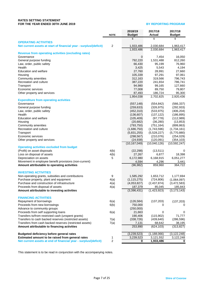### **RATES SETTING STATEMENT FOR THE YEAR ENDED 30TH JUNE 2019 BY REPORTING PROGRAM**

|                                                                                                  | <b>NOTE</b>             | 2018/19<br><b>Budget</b> | 2017/18<br><b>Actual</b> | 2017/18<br><b>Budget</b> |
|--------------------------------------------------------------------------------------------------|-------------------------|--------------------------|--------------------------|--------------------------|
|                                                                                                  |                         | \$                       | \$                       | \$                       |
| <b>OPERATING ACTIVITIES</b><br>Net current assets at start of financial year - surplus/(deficit) | 2                       | 1,933,486                | 2,030,684                | 1,963,417                |
|                                                                                                  |                         | 1,933,486                | 2,030,684                | 1,963,417                |
| <b>Revenue from operating activities (excluding rates)</b>                                       |                         |                          |                          |                          |
| Governance                                                                                       |                         | 0                        | 7,454                    | 16,050                   |
| General purpose funding                                                                          |                         | 792,220                  | 1,531,488                | 812,260                  |
| Law, order, public safety                                                                        |                         | 66,430                   | 95,199                   | 76,960                   |
| Health<br><b>Education and welfare</b>                                                           |                         | 3,425<br>27,760          | 5,543<br>28,991          | 4,194<br>27,660          |
| Housing                                                                                          |                         | 105,339                  | 97,291                   | 97,061                   |
| Community amenities                                                                              |                         | 312,163                  | 319,566                  | 796,743                  |
| Recreation and culture                                                                           |                         | 387,220                  | 241,654                  | 786,741                  |
| Transport                                                                                        |                         | 94,980                   | 99,165                   | 127,660                  |
| Economic services                                                                                |                         | 77,008                   | 89,750                   | 79,807                   |
| Other property and services                                                                      |                         | 87,493                   | 186,724                  | 95,300                   |
|                                                                                                  |                         | 1,954,038                | 2,702,825                | 2,920,436                |
| <b>Expenditure from operating activities</b>                                                     |                         |                          |                          |                          |
| Governance                                                                                       |                         | (557, 148)               | (554, 842)<br>(326, 975) | (566, 337)<br>(292, 933) |
| General purpose funding<br>Law, order, public safety                                             |                         | (259, 633)<br>(452, 310) | (533, 975)               | (406, 204)               |
| Health                                                                                           |                         | (136, 607)               | (137, 122)               | (186, 895)               |
| Education and welfare                                                                            |                         | (105, 409)               | (97, 778)                | (112,989)                |
| Housing                                                                                          |                         | (20, 682)                | (36, 280)                | (13, 853)                |
| Community amenities                                                                              |                         | (793, 750)               | (751, 164)               | (899, 863)               |
| Recreation and culture                                                                           |                         | (1,686,750)              | (1,743,596)              | (1,734,161)              |
| Transport                                                                                        |                         | (5,831,255)              | (5,528,227)              | (5,770,880)              |
| Economic services                                                                                |                         | (298, 567)               | (210, 076)               | (254, 029)               |
| Other property and services                                                                      |                         | (24, 938)                | (120,091)                | (354, 103)               |
|                                                                                                  |                         | (10, 167, 049)           | (10,040,126)             | (10, 592, 247)           |
| <b>Operating activities excluded from budget</b><br>(Profit) on asset disposals                  | 4(b)                    | (22, 298)                | (13, 511)                | 0                        |
| Loss on disposal of assets                                                                       | 4(b)                    | 27,267                   | 6,877                    | 18,398                   |
| Depreciation on assets                                                                           | 5                       | 6,172,980                | 6,168,915                | 6,051,277                |
| Movement in employee benefit provisions (non-current)                                            |                         | 4,594                    | 4,296                    | 3,441                    |
| Amount attributable to operating activities                                                      |                         | (96, 982)                | 859,960                  | 364,722                  |
| <b>INVESTING ACTIVITIES</b>                                                                      |                         |                          |                          |                          |
| Non-operating grants, subsidies and contributions                                                | 9                       | 1,585,292                | 1,653,712                | 1,177,694                |
| Purchase property, plant and equipment                                                           | 4(a)                    | (1, 115, 275)            | (724, 806)               | (1,064,097)              |
| Purchase and construction of infrastructure                                                      | 4(a)                    | (4,053,827)              | (2,437,874)              | (3,472,583)              |
| Proceeds from disposal of assets                                                                 | 4(a)                    | 187,379                  | 85,045                   | 185,843                  |
| Amount attributable to investing activities                                                      |                         | (3,396,431)              | (1,423,923)              | (3, 173, 143)            |
| <b>FINANCING ACTIVITIES</b>                                                                      |                         |                          |                          |                          |
| Repayment of borrowings                                                                          | 6(a)                    | (126, 584)               | (137, 203)               | (137, 203)               |
| Proceeds from new borrowings                                                                     | 6(b)                    | 750,000                  | 0                        |                          |
| Advance to community groups                                                                      |                         | (250,000)                |                          |                          |
| Proceeds from self supporting loans                                                              | 6(a)                    | 21,663                   | 0                        | 0                        |
| Transfers to/from restricted cash (unspent grants)                                               |                         | 190,406                  | (115,902)                | 71,777                   |
| Transfers to cash backed reserves (restricted assets)                                            | 7(a)                    | (338, 726)               | (439, 640)               | (286, 596)               |
| Transfers from cash backed reserves (restricted assets)                                          | 7(a)                    | 7,131                    | 68,642                   | 38,195                   |
| Amount attributable to financing activities                                                      |                         | 253,890                  | (624, 103)               | (313, 827)               |
| <b>Budgeted deficiency before general rates</b>                                                  |                         | (3,239,523)              | (1, 188, 066)            | (3, 122, 248)            |
| Estimated amount to be raised from general rates                                                 | 1                       | 3,239,523                | 3,121,552                | 3,122,248                |
| Net current assets at end of financial year - surplus/(deficit)                                  | $\overline{\mathbf{c}}$ | 0                        | 1,933,486                | 0                        |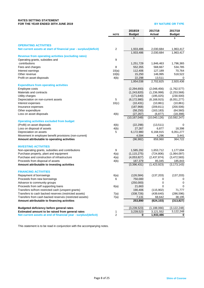### **RATES SETTING STATEMENT FOR THE YEAR ENDED 30TH JUNE 2019 BY NATURE OR TYPE**

|                                                                                 | <b>NOTE</b>    | 2018/19<br><b>Budget</b> | 2017/18<br>Actual          | 2017/18<br><b>Budget</b>   |
|---------------------------------------------------------------------------------|----------------|--------------------------|----------------------------|----------------------------|
|                                                                                 |                | \$                       | \$                         | \$                         |
| <b>OPERATING ACTIVITIES</b>                                                     |                |                          |                            |                            |
| Net current assets at start of financial year - surplus/(deficit)               | 2              | 1,933,486                | 2,030,684                  | 1,963,417                  |
|                                                                                 |                | 1,933,486                | 2,030,684                  | 1,963,417                  |
| <b>Revenue from operating activities (excluding rates)</b>                      |                |                          |                            |                            |
| Operating grants, subsidies and                                                 | 9              |                          |                            |                            |
| contributions                                                                   |                | 1,251,729                | 1,846,463                  | 1,796,365                  |
| Fees and charges                                                                | 8              | 552,355                  | 568,667                    | 534,785                    |
| Interest earnings                                                               | 10(a)          | 112,406                  | 127,189                    | 70,764                     |
| Other revenue                                                                   | 10(b)          | 15,250                   | 146,995                    | 518,522                    |
| Profit on asset disposals                                                       | 4(b)           | 22,298                   | 13,511                     | 0                          |
|                                                                                 |                | 1,954,038                | 2,702,825                  | 2,920,436                  |
| <b>Expenditure from operating activities</b>                                    |                |                          |                            |                            |
| Employee costs                                                                  |                | (2, 294, 693)            | (2,048,456)                | (1,762,577)                |
| Materials and contracts                                                         |                | (1,243,820)              | (1,236,998)                | (2,253,568)                |
| Utility charges                                                                 |                | (171, 640)               | (195, 025)                 | (230, 500)                 |
| Depreciation on non-current assets                                              | 5              | (6, 172, 980)            | (6, 168, 915)              | (6,051,277)                |
| Interest expenses                                                               | 10(c)          | (10, 431)                | (10, 861)                  | (10, 861)                  |
| Insurance expenses                                                              |                | (187,968)                | (209, 811)                 | (200, 506)                 |
| Other expenditure                                                               |                | (58, 250)                | (163, 183)                 | (64, 560)                  |
| Loss on asset disposals                                                         | 4(b)           | (27, 267)                | (6, 877)                   | (18, 398)                  |
|                                                                                 |                | (10, 167, 049)           | (10,040,126)               | (10, 592, 247)             |
| <b>Operating activities excluded from budget</b><br>(Profit) on asset disposals |                |                          |                            | 0                          |
| Loss on disposal of assets                                                      | 4(b)<br>4(b)   | (22, 298)<br>27,267      | (13, 511)<br>6,877         | 18,398                     |
| Depreciation on assets                                                          | 5              | 6,172,980                | 6,168,915                  | 6,051,277                  |
| Movement in employee benefit provisions (non-current)                           |                | 4,594                    | 4,296                      | 3,441                      |
| Amount attributable to operating activities                                     |                | (96, 982)                | 859,960                    | 364,722                    |
|                                                                                 |                |                          |                            |                            |
| <b>INVESTING ACTIVITIES</b>                                                     |                |                          |                            |                            |
| Non-operating grants, subsidies and contributions                               | 9              | 1,585,292                | 1,653,712                  | 1,177,694                  |
| Purchase property, plant and equipment                                          | 4(a)           | (1, 115, 275)            | (724, 806)                 | (1,064,097)                |
| Purchase and construction of infrastructure                                     | 4(a)           | (4,053,827)              | (2,437,874)                | (3,472,583)                |
| Proceeds from disposal of assets                                                | 4(b)           | 187,379                  | 85,045                     | 185,843                    |
| Amount attributable to investing activities                                     |                | (3,396,431)              | (1,423,923)                | (3, 173, 143)              |
| <b>FINANCING ACTIVITIES</b>                                                     |                |                          |                            |                            |
| Repayment of borrowings                                                         | 6(a)           | (126, 584)               | (137, 203)                 | (137, 203)                 |
| Proceeds from new borrowings                                                    | 6              | 750,000                  | 0                          | 0                          |
| Advance to community groups                                                     |                | (250,000)                | 0                          | 0                          |
| Proceeds from self supporting loans                                             | 6(a)           | 21,663                   | 0                          | 0                          |
| Transfers to/from restricted cash (unspent grants)                              |                | 190,406                  | (115,902)                  | 71,777                     |
| Transfers to cash backed reserves (restricted assets)                           | 7(a)           | (338, 726)               | (439, 640)                 | (286, 596)                 |
| Transfers from cash backed reserves (restricted assets)                         | 7(a)           | 7,131                    | 68,642                     | 38,195                     |
| Amount attributable to financing activities                                     |                | 253,890                  | (624, 103)                 | (313, 827)                 |
| Budgeted deficiency before general rates                                        |                |                          |                            |                            |
| Estimated amount to be raised from general rates                                | 1              | (3,239,523)<br>3,239,523 | (1, 188, 066)<br>3,121,552 | (3, 122, 248)<br>3,122,248 |
| Net current assets at end of financial year - surplus/(deficit)                 | $\overline{c}$ | 0                        | 1,933,486                  | 0                          |
|                                                                                 |                |                          |                            |                            |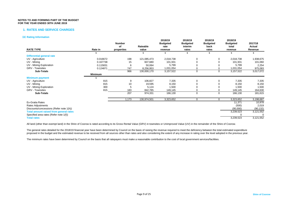### **1. RATES AND SERVICE CHARGES**

### **(a) Rating Information**

| <b>RATE TYPE</b>                              | Rate in        | <b>Number</b><br>оf<br>properties | Rateable<br>value | 2018/19<br><b>Budgeted</b><br>rate<br>revenue | 2018/19<br><b>Budgeted</b><br>interim<br>rates | 2018/19<br><b>Budgeted</b><br>back<br>rates | 2018/19<br><b>Budgeted</b><br>total<br>revenue | 2017/18<br>Actual<br>Revenue |
|-----------------------------------------------|----------------|-----------------------------------|-------------------|-----------------------------------------------|------------------------------------------------|---------------------------------------------|------------------------------------------------|------------------------------|
|                                               |                |                                   | \$                | \$                                            | S                                              | S                                           |                                                |                              |
| <b>Differential general rate</b>              |                |                                   |                   |                                               |                                                |                                             |                                                |                              |
| UV - Agriculture                              | 0.016672       | 198                               | 121,085,473       | 2,018,738                                     | 0                                              | 0                                           | 2,018,738                                      | 1,938,675                    |
| UV - Mining                                   | 0.167738       | 15                                | 607,680           | 101,931                                       |                                                |                                             | 101,931                                        | 101,060                      |
| UV - Mining Exploration                       | 0.115831       |                                   | 50,064            | 5,799                                         |                                                |                                             | 5,799                                          | 2,254                        |
| <b>GRV</b> - Townsites                        | 0.124871       | 747                               | 8,256,953         | 1,031,054                                     |                                                |                                             | 1,031,054                                      | 975,083                      |
| <b>Sub-Totals</b>                             |                | 966                               | 130,000,170       | 3,157,522                                     | 0                                              | 0                                           | 3,157,522                                      | 3,017,072                    |
|                                               | <b>Minimum</b> |                                   |                   |                                               |                                                |                                             |                                                |                              |
| <b>Minimum payment</b>                        |                |                                   |                   |                                               |                                                |                                             |                                                |                              |
| UV - Agriculture                              | 815            | 9                                 | 106,827           | 7,335                                         | 0                                              | 0                                           | 7,335                                          | 7,335                        |
| UV - Mining                                   | 815            | 10                                | 19,595            | 8,150                                         |                                                |                                             | 8,150                                          | 8,150                        |
| UV - Mining Exploration                       | 300            |                                   | 5,124             | 1,500                                         |                                                |                                             | 1,500                                          | 1,500                        |
| <b>GRV</b> - Townsites                        | 815            | 183                               | 842,785           | 149,145                                       |                                                |                                             | 149,145                                        | 164,630                      |
| <b>Sub-Totals</b>                             |                | 207                               | 974,331           | 166,130                                       | 0                                              | 0                                           | 166,130                                        | 181,615                      |
|                                               |                | 1,173                             | 130,974,501       | 3,323,652                                     | 0                                              | 0                                           | 3,323,652                                      | 3,198,687                    |
| Ex-Gratia Rates                               |                |                                   |                   |                                               |                                                |                                             | 11,371                                         | 10,978                       |
| Rates Adjustments                             |                |                                   |                   |                                               |                                                |                                             | (500)                                          | 2,019                        |
| Discounts/concessions (Refer note 1(h))       |                |                                   |                   |                                               |                                                |                                             | (95,000)                                       | (90, 132)                    |
| <b>Total amount raised from general rates</b> |                |                                   |                   |                                               |                                                |                                             | 3,239,523                                      | 3,121,552                    |
| Specified area rates (Refer note 1(f))        |                |                                   |                   |                                               |                                                |                                             |                                                | $\Omega$                     |
| <b>Total rates</b>                            |                |                                   |                   |                                               |                                                |                                             | 3,239,523                                      | 3,121,552                    |

All land (other than exempt land) in the Shire of Coorow is rated according to its Gross Rental Value (GRV) in townsites or Unimproved Value (UV) in the remainder of the Shire of Coorow.

The general rates detailed for the 2018/19 financial year have been determined by Council on the basis of raising the revenue required to meet the deficiency between the total estimated expenditure proposed in the budget and the estimated revenue to be received from all sources other than rates and also considering the extent of any increase in rating over the level adopted in the previous year.

The minimum rates have been determined by Council on the basis that all ratepayers must make a reasonable contribution to the cost of local government services/facilities.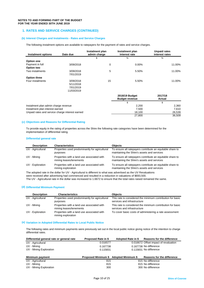### **1. RATES AND SERVICE CHARGES (CONTINUED)**

### **(b) Interest Charges and Instalments - Rates and Service Charges**

The following instalment options are available to ratepayers for the payment of rates and service charges.

| Instalment options                              | Date due   | Instalment plan<br>admin charge | Instalment plan<br>interest rate        | <b>Unpaid rates</b><br>interest rates |
|-------------------------------------------------|------------|---------------------------------|-----------------------------------------|---------------------------------------|
|                                                 |            | \$                              | %                                       | %                                     |
| Option one                                      |            |                                 |                                         |                                       |
| Payment in full                                 | 3/09/2018  | 0                               | 0.00%                                   | 11.00%                                |
| Option two                                      |            |                                 |                                         |                                       |
| Two instalments                                 | 3/09/2018  | 5                               | 5.50%                                   | 11.00%                                |
|                                                 | 7/01/2019  |                                 |                                         |                                       |
| Option three                                    |            |                                 |                                         |                                       |
| Four instalments                                | 3/09/2018  | 15                              | 5.50%                                   | 11.00%                                |
|                                                 | 5/11/2018  |                                 |                                         |                                       |
|                                                 | 7/01/2019  |                                 |                                         |                                       |
|                                                 | 11/03/2019 |                                 |                                         |                                       |
|                                                 |            |                                 | 2018/19 Budget<br><b>Budget revenue</b> | 2017/18<br>Actual                     |
|                                                 |            |                                 | \$                                      | \$                                    |
| Instalment plan admin charge revenue            |            |                                 | 2,200                                   | 2,360                                 |
| Instalment plan interest earned                 |            |                                 | 7,500                                   | 7,610                                 |
| Unpaid rates and service charge interest earned |            |                                 | 18,100                                  | 26,539                                |
|                                                 |            |                                 | 27,800                                  | 36,509                                |

### **(c) Objectives and Reasons for Differential Rating**

To provide equity in the rating of properties across the Shire the following rate categories have been determined for the implementation of differential rating.

### **Differential general rate**

| <b>Description</b> | <b>Characteristics</b>                                                | <b>Objects</b>                                                                                           |
|--------------------|-----------------------------------------------------------------------|----------------------------------------------------------------------------------------------------------|
| UV - Agricultural  | Properties used predominantly for agricultural<br>purposes            | To ensure all ratepayers contribute an equitable share to<br>maintaining the Shire's assets and services |
| UV - Mining        | Properties with a land use associated with<br>mining leases/tenements | To ensure all ratepayers contribute an equitable share to<br>maintaining the Shire's assets and services |
| UV - Exploration   | Properties with a land use associated with<br>mining exploration      | To ensure all ratepayers contribute an equitable share to<br>maintaining the Shire's assets and services |

The adopted rate in the dollar for UV - Agricultural is different to what was advertised as the UV Revaluations were received after advertising had commenced and resulted in a reduction in valuations of \$693,500. The UV - Agricultural rate in the dollar was increased to 1.6672 to ensure that the total rates raised remained the same.

### **(d) Differential Minimum Payment**

| <b>Description</b> | <b>Characteristics</b>                                                | <b>Objects</b>                                                                            |
|--------------------|-----------------------------------------------------------------------|-------------------------------------------------------------------------------------------|
| UV - Agricultural  | Properties used predominantly for agricultural<br>purposes            | This rate is considered the minimum contribution for basic<br>services and infrastructure |
| UV - Mining        | Properties with a land use associated with<br>mining leases/tenements | This rate is considered the minimum contribution for basic<br>services and infrastructure |
| UV - Exploration   | Properties with a land use associated with<br>mining exploration      | To cover basic costs of administering a rate assessment                                   |

### **(e) Variation in Adopted Differential Rates to Local Public Notice**

The following rates and minimum payments were previously set out in the local public notice giving notice of the intention to charge differential rates.

| Differential general rate or general rate | Proposed Rate in \$                    | Adopted Rate in \$ | Reasons for the difference            |
|-------------------------------------------|----------------------------------------|--------------------|---------------------------------------|
| UV - Agricultural                         | 0.016577                               |                    | 0.016672 Offset impact of revaluation |
| UV - Mining                               | 0.167738                               |                    | 0.167738 No difference                |
| UV - Mining Exploration                   | 0.115831                               |                    | 0.115831 No difference                |
| Minimum payment                           | Proposed Minimum \$ Adopted Minimum \$ |                    | <b>Reasons for the difference</b>     |
| UV - Agricultural                         | 815                                    |                    | 815 No difference                     |
| UV - Mining                               | 815                                    |                    | 815 No difference                     |
| UV - Mining Exploration                   | 300                                    |                    | 300 No difference                     |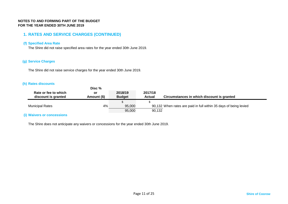### **1. RATES AND SERVICE CHARGES (CONTINUED)**

### **(f) Specified Area Rate**

The Shire did not raise specified area rates for the year ended 30th June 2019.

### **(g) Service Charges**

The Shire did not raise service charges for the year ended 30th June 2019.

### **(h) Rates discounts**

|                                             | Disc %            |                          |                          |                                                                   |
|---------------------------------------------|-------------------|--------------------------|--------------------------|-------------------------------------------------------------------|
| Rate or fee to which<br>discount is granted | or<br>Amount (\$) | 2018/19<br><b>Budget</b> | 2017/18<br><b>Actual</b> | Circumstances in which discount is granted                        |
|                                             |                   |                          |                          |                                                                   |
| <b>Municipal Rates</b>                      | 4%                | 95,000                   |                          | 90,132 When rates are paid in full within 35 days of being levied |
|                                             |                   | 95,000                   | 90,132                   |                                                                   |

### **(i) Waivers or concessions**

The Shire does not anticipate any waivers or concessions for the year ended 30th June 2019.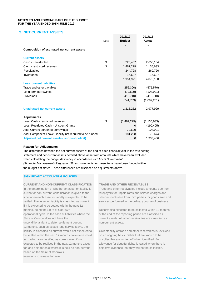### **2. NET CURRENT ASSETS**

|                                                          |             | 2018/19       | 2017/18       |
|----------------------------------------------------------|-------------|---------------|---------------|
|                                                          | <b>Note</b> | <b>Budget</b> | <b>Actual</b> |
|                                                          |             | \$            | \$            |
| <b>Composition of estimated net current assets</b>       |             |               |               |
| <b>Current assets</b>                                    |             |               |               |
| Cash - unrestricted                                      | 3           | 226,407       | 2,653,164     |
| Cash - restricted reserves                               | 3           | 1,467,229     | 1,135,633     |
| Receivables                                              |             | 244,728       | 269,726       |
| Inventories                                              |             | 16,607        | 16,607        |
|                                                          |             | 1,954,971     | 4,075,130     |
| <b>Less: current liabilities</b>                         |             |               |               |
| Trade and other payables                                 |             | (252, 300)    | (575, 570)    |
| Long term borrowings                                     |             | (72, 699)     | (104, 921)    |
| Provisions                                               |             | (416, 710)    | (416, 710)    |
|                                                          |             | (741, 709)    | (1,097,201)   |
| <b>Unadjusted net current assets</b>                     |             | 1,213,262     | 2,977,929     |
| <b>Adjustments</b>                                       |             |               |               |
| Less: Cash - restricted reserves                         | 3           | (1,467,229)   | (1, 135, 633) |
| Less: Restricted Cash - Unspent Grants                   |             | $\Omega$      | (190, 405)    |
| Add: Current portion of borrowings                       |             | 72,699        | 104,921       |
| Add: Component Leave Liability not required to be funded |             | 181,268       | 176,674       |
| Adjusted net current assets - surplus/(deficit)          |             | 0             | 1,933,486     |

### **Reason for Adjustments**

The differences between the net current assets at the end of each financial year in the rate setting statement and net current assets detailed above arise from amounts which have been excluded when calculating the budget deficiency in accordance with *Local Government (Financial Management) Regulation 32* as movements for these items have been funded within the budget estimates. These differences are disclosed as adjustments above.

### **SIGNIFICANT ACCOUNTING POLICIES**

current or non-current, consideration is given to the ratepayers for unpaid rates and service charges and if it is expected to be settled within the next 12 months, being the Shire of Coorow's Receivables expected to be collected within 12 months operational cycle. In the case of liabilities where the of the end of the reporting period are classified as Shire of Coorow does not have the current assets. All other receivables are classified as unconditional right to defer settlement beyond non-current assets. 12 months, such as vested long service leave, the liability is classified as current even if not expected to Collectability of trade and other receivables is reviewed be settled within the next 12 months. Inventories held on an ongoing basis. Debts that are known to be for trading are classified as current even if not uncollectible are written off when identified. An expected to be realised in the next 12 months except allowance for doubtful debts is raised when there is for land held for sale where it is held as non-current objective evidence that they will not be collectible. based on the Shire of Coorow's intentions to release for sale.

### **CURRENT AND NON-CURRENT CLASSIFICATION TRADE AND OTHER RECEIVABLES**

In the determination of whether an asset or liability is Trade and other receivables include amounts due from time when each asset or liability is expected to be other amounts due from third parties for goods sold and settled. The asset or liability is classified as current services performed in the ordinary course of business.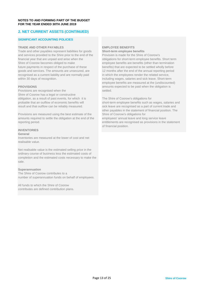### **2. NET CURRENT ASSETS (CONTINUED)**

### **SIGNIFICANT ACCOUNTING POLICIES**

**TRADE AND OTHER PAYABLES EMPLOYEE BENEFITS**<br> **Trade and other payables represent liabilities for goods Short-term employee benefits** Trade and other payables represent liabilities for goods<br> **Short-term employee benefits**<br> **Short-term employee benefits**<br> **Short-term employee benefits**<br> **Short-term employee benefits** and services provided to the Shire prior to the end of the financial year that are unpaid and arise when the obligations for short-term employee benefits. Short term Shire of Coorow becomes obliged to make employee benefits are benefits (other than termination future payments in respect of the purchase of these benefits) that are expected to be settled wholly before goods and services. The amounts are unsecured, are 12 months after the end of the annual reporting period recognised as a current liability and are normally paid in which the employees render the related service, within 30 days of recognition. including wages, salaries and sick leave. Short-term

Provisions are recognised when the settled. Shire of Coorow has a legal or constructive obligation, as a result of past events, for which it is The Shire of Coorow's obligations for

Provisions are measured using the best estimate of the Shire of Coorow's obligations for amounts required to settle the obligation at the end of the employees' annual leave and long service leave

### **INVENTORIES**

### **General**

Inventories are measured at the lower of cost and net realisable value.

Net realisable value is the estimated selling price in the ordinary course of business less the estimated costs of completion and the estimated costs necessary to make the sale.

### **Superannuation**

The Shire of Coorow contributes to a number of superannuation funds on behalf of employees.

All funds to which the Shire of Coorow contributes are defined contribution plans.

employee benefits are measured at the (undiscounted) **PROVISIONS EXPRESS ARRANGEMENT CONSUMING EXPECTED AMOUNTS EXPECTED AT A PROVISIONS** 

probable that an outflow of economic benefits will short-term employee benefits such as wages, salaries and result and that outflow can be reliably measured. sick leave are recognised as a part of current trade and other payables in the statement of financial position. The reporting period. entitlements are recognised as provisions in the statement of financial position.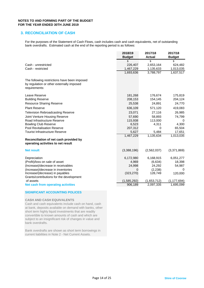### **3. RECONCILIATION OF CASH**

For the purposes of the Statement of Cash Flows, cash includes cash and cash equivalents, net of outstanding bank overdrafts. Estimated cash at the end of the reporting period is as follows:

|                                                                                                            | 2018/19<br><b>Budget</b> | 2017/18<br><b>Actual</b> | 2017/18<br><b>Budget</b> |
|------------------------------------------------------------------------------------------------------------|--------------------------|--------------------------|--------------------------|
|                                                                                                            | \$                       | \$                       | \$                       |
| Cash - unrestricted                                                                                        | 226,407                  | 2,653,164                | 624,482                  |
| Cash - restricted                                                                                          | 1,467,229                | 1,135,633                | 1,013,035                |
|                                                                                                            | 1,693,636                | 3,788,797                | 1,637,517                |
| The following restrictions have been imposed<br>by regulation or other externally imposed<br>requirements: |                          |                          |                          |
| Leave Reserve                                                                                              | 181,268                  | 176,674                  | 175,819                  |
| <b>Building Reserve</b>                                                                                    | 208,153                  | 154,145                  | 204,124                  |
| <b>Resource Sharing Reserve</b>                                                                            | 25,538                   | 24,891                   | 24,770                   |
| <b>Plant Reserve</b>                                                                                       | 636,109                  | 571,120                  | 419,083                  |
| <b>Television Rebroadcasting Reserve</b>                                                                   | 23,071                   | 27,116                   | 26,985                   |
| Joint Venture Housing Reserve                                                                              | 57,690                   | 58,893                   | 74,799                   |
| Road Infrastructure Reserve                                                                                | 115,938                  | 113,000                  | 0                        |
| <b>Bowling Club Reserve</b>                                                                                | 6,523                    | 4,311                    | 4,300                    |
| Pool Revitalisation Reserve                                                                                | 207,312                  | 0                        | 65,504                   |
| <b>Tourist Infrastructure Reserve</b>                                                                      | 5,627                    | 5,484                    | 17,651                   |
|                                                                                                            | 1,467,229                | 1,135,634                | 1,013,035                |
| Reconciliation of net cash provided by<br>operating activities to net result                               |                          |                          |                          |
| <b>Net result</b>                                                                                          | (3,388,196)              | (2,562,037)              | (3,371,869)              |
| Depreciation                                                                                               | 6,172,980                | 6,168,915                | 6,051,277                |
| (Profit)/loss on sale of asset                                                                             | 4,969                    | (6,634)                  | 18,398                   |
| (Increase)/decrease in receivables                                                                         | 24,998                   | 24,292                   | 54,987                   |
| (Increase)/decrease in inventories                                                                         | 0                        | (2,238)                  | 0                        |
| Increase/(decrease) in payables                                                                            | (323, 270)               | 128,749                  | 120,000                  |
| Grants/contributions for the development                                                                   |                          |                          |                          |
| of assets                                                                                                  | (1, 585, 292)            | (1,653,712)              | (1, 177, 694)            |
| <b>Net cash from operating activities</b>                                                                  | 906,189                  | 2,097,335                | 1,695,099                |

### **SIGNIFICANT ACCOUNTING POLICES**

### **CASH AND CASH EQUIVALENTS**

Cash and cash equivalents include cash on hand, cash at bank, deposits available on demand with banks, other short term highly liquid investments that are readily convertible to known amounts of cash and which are subject to an insignificant risk of changes in value and bank overdrafts.

Bank overdrafts are shown as short term borrowings in current liabilities in Note 2 - Net Current Assets.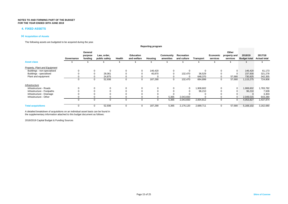### **4. FIXED ASSETS**

### **(a) Acquisition of Assets**

The following assets are budgeted to be acquired during the year.

|                                      |            |                               |                              |          |                                 | <b>Reporting program</b> |                        |                           |           |                      |                                   |                                |                                |
|--------------------------------------|------------|-------------------------------|------------------------------|----------|---------------------------------|--------------------------|------------------------|---------------------------|-----------|----------------------|-----------------------------------|--------------------------------|--------------------------------|
|                                      | Governance | General<br>purpose<br>funding | Law, order,<br>public safety | Health   | <b>Education</b><br>and welfare | Housing                  | Community<br>amenities | Recreation<br>and culture | Transport | Economic<br>services | Other<br>property and<br>services | 2018/19<br><b>Budget total</b> | 2017/18<br><b>Actual total</b> |
| <b>Asset class</b>                   |            |                               |                              |          |                                 |                          |                        |                           |           |                      |                                   |                                |                                |
| <b>Property, Plant and Equipment</b> |            |                               |                              |          |                                 |                          |                        |                           |           |                      |                                   |                                |                                |
| Buildings - non-specialised          |            |                               |                              | $\Omega$ |                                 | 146,420                  | $\Omega$               |                           |           | 0                    |                                   | 146,420                        | 61,173                         |
| Buildings - specialised              |            |                               | 28,061                       |          |                                 | 40,870                   | $\Omega$               | 132,470                   | 36,529    | $\Omega$             |                                   | 237,930                        | 321,278                        |
| Plant and equipment                  |            |                               | 24,875                       |          |                                 |                          |                        |                           | 648,370   |                      | 57,680                            | 730,925                        | 342,355                        |
|                                      | $\Omega$   |                               | 52,936<br>0                  |          |                                 | 187,290                  | 0                      | 132,470                   | 684,899   |                      | 57,680<br>0                       | 1,115,275                      | 724,806                        |
| Infrastructure                       |            |                               |                              |          |                                 |                          |                        |                           |           |                      |                                   |                                |                                |
| Infrastructure - Roads               |            |                               |                              | 0        |                                 |                          |                        | 0                         | 1,908,602 | 0                    | 0                                 | 1,908,602                      | 1,783,782                      |
| Infrastructure - Footpaths           |            |                               |                              |          |                                 | U                        |                        |                           | 96,210    | $\Omega$             |                                   | 96,210                         | 7,509                          |
| Infrastructure - Drainage            |            |                               |                              |          |                                 |                          |                        |                           |           |                      |                                   |                                | 3,303                          |
| Infrastructure - Other               |            |                               |                              |          |                                 |                          | 5,365                  | 2,043,650                 |           |                      |                                   | 2,049,015                      | 643,280                        |
|                                      | $\Omega$   |                               | 0<br>0                       |          |                                 |                          | 5,365                  | 2,043,650                 | 2,004,812 | $\Omega$             |                                   | 4,053,827                      | 2,437,874                      |
| <b>Total acquisitions</b>            | $\Omega$   |                               | 52,936<br>0                  | $\Omega$ |                                 | 187,290                  | 5,365                  | 2,176,120                 | 2,689,711 |                      | 57,680<br>0                       | 5,169,102                      | 3,162,680                      |

A detailed breakdown of acquisitions on an individual asset basis can be found in the supplementary information attached to this budget document as follows:

2018/2019 Capital Budget & Funding Sources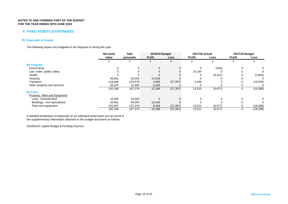### **4. FIXED ASSETS (CONTINUED)**

### **(b) Disposals of Assets**

The following assets are budgeted to be disposed of during the year.

|                               | Net book | <b>Sale</b> |               | 2018/19 Budget | 2017/18 Actual |          | 2017/18 Budget |           |
|-------------------------------|----------|-------------|---------------|----------------|----------------|----------|----------------|-----------|
|                               | value    | proceeds    | <b>Profit</b> | Loss           | <b>Profit</b>  | Loss     | Profit         | Loss      |
|                               |          |             |               |                |                |          |                |           |
| <b>By Program</b>             |          |             |               |                |                |          |                |           |
| Governance                    |          |             |               |                |                | (450)    | 0              | 0         |
| Law, order, public safety     |          |             |               |                | 10,164         |          |                |           |
| Health                        |          |             |               |                |                | (6, 427) |                | (2,853)   |
| Housing                       | 36,661   | 50,000      | 13,339        |                |                |          |                |           |
| Transport                     | 129,580  | 104,979     | 2,666         | (27, 267)      | 3,346          |          |                | (15, 545) |
| Other property and services   | 26,107   | 32,400      | 6,293         |                |                |          |                |           |
|                               | 192,348  | 187,379     | 22,298        | (27, 267)      | 13,510         | (6, 877) | 0              | (18, 398) |
| <b>By Class</b>               |          |             |               |                |                |          |                |           |
| Property, Plant and Equipment |          |             |               |                |                |          |                |           |
| Land - freehold land          | 10,000   | 10,000      |               |                |                |          |                | 0         |
| Buildings - non-specialised   | 26,661   | 40,000      | 13,339        |                |                |          |                |           |
| Plant and equipment           | 155,687  | 137,379     | 8,959         | (27, 267)      | 13,511         | (6, 877) |                | (18, 398) |
|                               | 192,348  | 187,379     | 22,298        | (27, 267)      | 13,511         | (6, 877) | 0              | (18, 398) |

A detailed breakdown of disposals on an individual asset basis can be found in the supplementary information attached to this budget document as follows:

2018/2019 Capital Budget & Funding Sources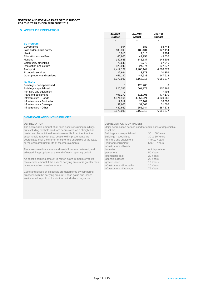### **5. ASSET DEPRECIATION**

|                              | 2018/19<br><b>Budget</b> | 2017/18<br>Actual | 2017/18<br><b>Budget</b> |
|------------------------------|--------------------------|-------------------|--------------------------|
|                              | \$                       | \$                | \$                       |
| <b>By Program</b>            |                          |                   |                          |
| Governance                   | 694                      | 683               | 68,744                   |
| Law, order, public safety    | 188,898                  | 188,431           | 127,414                  |
| Health                       | 8,010                    | 9,313             | 9,404                    |
| <b>Education and welfare</b> | 46,800                   | 47,253            | 49,636                   |
| Housing                      | 142,638                  | 143,137           | 144,503                  |
| Community amenities          | 76,643                   | 76,776            | 67,046                   |
| Recreation and culture       | 822,946                  | 824,274           | 827,877                  |
| Transport                    | 4,412,167                | 4,408,142         | 4,588,379                |
| Economic services            | 22,994                   | 23,373            | 20,356                   |
| Other property and services  | 451,190                  | 447,533           | 147,918                  |
|                              | 6,172,980                | 6,168,915         | 6,051,277                |
| <b>By Class</b>              |                          |                   |                          |
| Buildings - non-specialised  | 0                        | 128,400           | 0                        |
| Buildings - specialised      | 820,765                  | 661,179           | 807,765                  |
| Furniture and equipment      | 0                        |                   | 7,493                    |
| Plant and equipment          | 498,170                  | 611,706           | 477,170                  |
| Infrastructure - Roads       | 4,371,961                | 4,357,221         | 4,320,961                |
| Infrastructure - Footpaths   | 19,812                   | 20,102            | 18,608                   |
| Infrastructure - Drainage    | 31,605                   | 31,563            | 31,602                   |
| Infrastructure - Other       | 430,667                  | 358,744           | 387,678                  |
|                              | 6,172,980                | 6,168,915         | 6,051,277                |

### **SIGNIFICANT ACCOUNTING POLICIES**

The depreciable amount of all fixed assets including buildings Major dep<br>hut excluding freehold land, are depreciated on a straight-line but excluding freehold land, are depreciated on a straight-line basis over the individual asset's useful life from the time the asset is held ready for use. Leasehold improvements are depreciated over the shorter of either the unexpired of the lease or the estimated useful life of the improvements.

The assets residual values and useful lives are reviewed, and adjusted if appropriate, at the end of each reporting period.

An asset's carrying amount is written down immediately to its recoverable amount if the asset's carrying amount is greater than its estimated recoverable amount.

Gains and losses on disposals are determined by comparing proceeds with the carrying amount. These gains and losses are included in profit or loss in the period which they arise.

**DEPRECIATION**<br>The depreciable amount of all fixed assets including buildings Major depreciation periods used for each class of depreciable

| Buildings - non-specialised | 30 to 50 Years  |
|-----------------------------|-----------------|
| Buildings - specialised     | 30 to 50 Years  |
| Furniture and equipment     | 4 to 10 Years   |
| Plant and equipment         | 5 to 15 Years   |
| Infrastructure - Roads      |                 |
| formation                   | not depreciated |
| pavement                    | 50 Years        |
| bituminous seal             | 20 Years        |
| asphalt surfaces            | 25 Years        |
| gravel sheet                | 12 Years        |
| Infrastructure - Footpaths  | 20 Years        |
| Infrastructure - Drainage   | 75 Years        |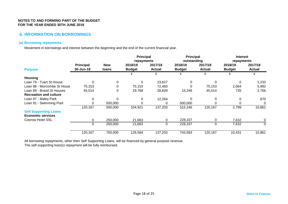### **6. INFORMATION ON BORROWINGS**

### **(a) Borrowing repayments**

Movement in borrowings and interest between the beginning and the end of the current financial year.

|                               |                               |                            | <b>Principal</b><br>repayments |                          | <b>Principal</b><br>outstanding |                          | <b>Interest</b><br>repayments |                          |  |
|-------------------------------|-------------------------------|----------------------------|--------------------------------|--------------------------|---------------------------------|--------------------------|-------------------------------|--------------------------|--|
| <b>Purpose</b>                | <b>Principal</b><br>30-Jun-18 | <b>New</b><br><b>loans</b> | 2018/19<br><b>Budget</b>       | 2017/18<br><b>Actual</b> | 2018/19<br><b>Budget</b>        | 2017/18<br><b>Actual</b> | 2018/19<br><b>Budget</b>      | 2017/18<br><b>Actual</b> |  |
|                               |                               |                            |                                | \$                       | S                               | \$                       | ж.                            | \$.                      |  |
| <b>Housing</b>                |                               |                            |                                |                          |                                 |                          |                               |                          |  |
| Loan 79 - Tuart St House      | $\Omega$                      | $\mathbf{0}$               | 0                              | 23,627                   | 0                               |                          | 0                             | 1,233                    |  |
| Loan 88 - Morcombe St House   | 75,153                        | 0                          | 75,153                         | 72,483                   |                                 | 75,153                   | 2,064                         | 5,992                    |  |
| Loan 89 - Brand St Houses     | 45,014                        | 0                          | 29,768                         | 28,829                   | 15,246                          | 45,014                   | 735                           | 2,766                    |  |
| <b>Recreation and culture</b> |                               |                            |                                |                          |                                 |                          |                               |                          |  |
| Loan 87 - Maley Park          | 0                             | $\Omega$                   | 0                              | 12,264                   | ∩                               | 0                        | 0                             | 870                      |  |
| Loan 91 - Swimming Pool       | $\Omega$                      | 500,000                    |                                | 0                        | 500,000                         |                          | 0                             | 0                        |  |
|                               | 120,167                       | 500,000                    | 104,921                        | 137,203                  | 515,246                         | 120,167                  | 2,799                         | 10,861                   |  |
| <b>Self Supporting Loans</b>  |                               |                            |                                |                          |                                 |                          |                               |                          |  |
| <b>Economic services</b>      |                               |                            |                                |                          |                                 |                          |                               |                          |  |
| Coorow Hotel SSL              | 0                             | 250,000                    | 21,663                         | 0                        | 228,337                         | 0                        | 7,632                         | 0                        |  |
|                               | $\Omega$                      | 250,000                    | 21,663                         | $\Omega$                 | 228,337                         | 0                        | 7,632                         | 0                        |  |
|                               | 120,167                       | 750,000                    | 126,584                        | 137,203                  | 743,583                         | 120,167                  | 10,431                        | 10,861                   |  |

All borrowing repayments, other then Self Supporting Loans, will be financed by general purpose revenue.

The self supporting loan(s) repayment will be fully reimbursed.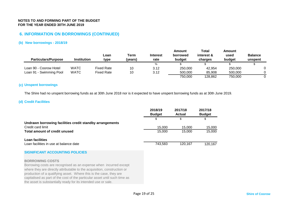### **6. INFORMATION ON BORROWINGS (CONTINUED)**

### **(b) New borrowings - 2018/19**

| <b>Particulars/Purpose</b> | <b>Institution</b> | Loan<br>type      | Term<br>(vears) | <b>Interest</b><br>rate | Amount<br>borrowed<br>budget | Total<br>interest &<br>charges | Amount<br>used<br>budget | <b>Balance</b><br>unspent |
|----------------------------|--------------------|-------------------|-----------------|-------------------------|------------------------------|--------------------------------|--------------------------|---------------------------|
|                            |                    |                   |                 | %                       |                              |                                |                          |                           |
| Loan 90 - Coorow Hotel     | <b>WATC</b>        | Fixed Rate        | 10              | 3.12                    | 250,000                      | 42,954                         | 250,000                  |                           |
| Loan 91 - Swimming Pool    | <b>WATC</b>        | <b>Fixed Rate</b> | 10              | 3.12                    | 500,000                      | 85.908                         | 500,000                  |                           |
|                            |                    |                   |                 |                         | 750,000                      | 128.862                        | 750.000                  |                           |

### **(c) Unspent borrowings**

The Shire had no unspent borrowing funds as at 30th June 2018 nor is it expected to have unspent borrowing funds as at 30th June 2019.

### **(d) Credit Facilities**

|                                                          | 2018/19<br><b>Budget</b> | 2017/18<br><b>Actual</b> | 2017/18<br><b>Budget</b> |
|----------------------------------------------------------|--------------------------|--------------------------|--------------------------|
|                                                          |                          | \$                       |                          |
| Undrawn borrowing facilities credit standby arrangements |                          |                          |                          |
| Credit card limit                                        | 15.000                   | 15.000                   | 15.000                   |
| Total amount of credit unused                            | 15.000                   | 15.000                   | 15,000                   |
| Loan facilities                                          |                          |                          |                          |
| Loan facilities in use at balance date                   | 743.583                  | 120.167                  | 120.167                  |

### **SIGNIFICANT ACCOUNTING POLICIES**

### **BORROWING COSTS**

Borrowing costs are recognised as an expense when incurred except where they are directly attributable to the acquisition, construction or production of a qualifying asset. Where this is the case, they are capitalised as part of the cost of the particular asset until such time as the asset is substantially ready for its intended use or sale.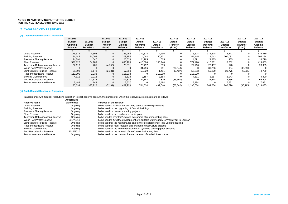### **7. CASH BACKED RESERVES**

### **(a) Cash Backed Reserves - Movement**

|                                          | 2018/19<br><b>Budget</b>         | 2018/19                      | 2018/19<br><b>Budget</b>  | 2018/19<br><b>Budget</b>         | 2017/18<br>Actual         | 2017/18                      | 2017/18<br>Actual  | 2017/18<br>Actual                | 2017/18<br><b>Budget</b>  | 2017/18                      | 2017/18<br><b>Budget</b> | 2017/18<br><b>Budget</b>  |
|------------------------------------------|----------------------------------|------------------------------|---------------------------|----------------------------------|---------------------------|------------------------------|--------------------|----------------------------------|---------------------------|------------------------------|--------------------------|---------------------------|
|                                          | <b>Opening</b><br><b>Balance</b> | <b>Budget</b><br>Transfer to | <b>Transfer</b><br>(from) | <b>Closing</b><br><b>Balance</b> | Opening<br><b>Balance</b> | Actual<br><b>Transfer to</b> | Transfer<br>(from) | <b>Closing</b><br><b>Balance</b> | Opening<br><b>Balance</b> | <b>Budget</b><br>Transfer to | Transfer<br>(from)       | Closing<br><b>Balance</b> |
|                                          |                                  |                              |                           |                                  |                           |                              |                    |                                  |                           |                              |                          |                           |
| Leave Reserve                            | 176.674                          | 4.594                        |                           | 181,268                          | 172.378                   | 4,296                        |                    | 176.674                          | 172,378                   | 3.441                        |                          | 175,819                   |
| <b>Building Reserve</b>                  | 154,145                          | 54,008                       |                           | 208,153                          | 4,044                     | 150,101                      |                    | 154,145                          | 4,043                     | 200,081                      |                          | 204,124                   |
| <b>Resource Sharing Reserve</b>          | 24,891                           | 647                          |                           | 25,538                           | 24,285                    | 605                          |                    | 24,891                           | 24,285                    | 485                          |                          | 24,770                    |
| <b>Plant Reserve</b>                     | 571.120                          | 64,989                       |                           | 636,109                          | 410.880                   | 160,240                      |                    | 571.120                          | 410.881                   | 8,202                        |                          | 419,083                   |
| <b>Television Rebroadcasting Reserve</b> | 27,116                           | 705                          | (4,750)                   | 23,071                           | 26,457                    | 659                          |                    | 27,116                           | 26,457                    | 528                          |                          | 26,985                    |
| Wann Park Water Reserve                  |                                  |                              |                           |                                  | 31.756                    | 791                          | (32, 548)          |                                  | 31.756                    | 634                          | (32, 390)                |                           |
| Joint Venture Housing Reserve            | 58,893                           | 1,178                        | (2, 381)                  | 57.690                           | 59,829                    | 1,491                        | (2, 427)           | 58,893                           | 59,829                    | 20,775                       | (5,805)                  | 74,799                    |
| Road Infrastructure Reserve              | 113.000                          | 2,938                        |                           | 115,938                          |                           | 113,000                      |                    | 113,000                          |                           |                              |                          |                           |
| <b>Bowling Club Reserve</b>              | 4,311                            | 2,212                        |                           | 6,523                            | 2,157                     | 2,154                        |                    | 4,311                            | 2,157                     | 2,143                        |                          | 4,300                     |
| Pool Revitalisation Reserve              |                                  | 207,312                      |                           | 207,312                          | 32,848                    | 819                          | (33,667)           |                                  | 32,848                    | 32,656                       |                          | 65,504                    |
| <b>Tourist Infrastructure Reserve</b>    | 5,484                            | 143                          |                           | 5,627                            |                           | 5,484                        |                    | 5,484                            |                           | 17,651                       |                          | 17,651                    |
|                                          | 1,135,634                        | 338,726                      | (7, 131)                  | 1.467.229                        | 764.634                   | 439,640                      | (68, 642)          | 1,135,634                        | 764.634                   | 286,596                      | (38, 195)                | 1,013,035                 |

### **(b) Cash Backed Reserves - Purposes**

In accordance with Council resolutions in relation to each reserve account, the purpose for which the reserves are set aside are as follows:

|                                          | Anticipated |                                                                                      |
|------------------------------------------|-------------|--------------------------------------------------------------------------------------|
| Reserve name                             | date of use | Purpose of the reserve                                                               |
| Leave Reserve                            | Ongoing     | To be used to fund annual and long service leave requirements                        |
| <b>Building Reserve</b>                  | Ongoing     | To be used for the upgrading of Council buildings                                    |
| <b>Resource Sharing Reserve</b>          | Ongoing     | To be used for resource sharing projects                                             |
| <b>Plant Reserve</b>                     | Ongoing     | To be used for the purchase of major plant                                           |
| <b>Television Rebroadcasting Reserve</b> | Ongoing     | To be used to maintain/upgrade equipment at rebroadcasting sites                     |
| Wann Park Water Reserve                  | 2017/2018   | To be used to fund the development of a suitable water supply to Wann Park in Leeman |
| Joint Venture Housing Reserve            | Ongoing     | To be used for the maintenance and further development of joint venture housing      |
| Road Infrastructure Reserve              | Ongoing     | To be used for road, footpath and drainage infrastructure projects                   |
| <b>Bowling Club Reserve</b>              | Ongoing     | To be used for the future replacement of synthetic bowling green surfaces            |
| <b>Pool Revitalisation Reserve</b>       | 2019/2020   | To be used for the renewal of the Coorow Swimming Pool                               |
| <b>Tourist Infrastructure Reserve</b>    | Ongoing     | To be used for the construction and renewal of tourist infrastructure                |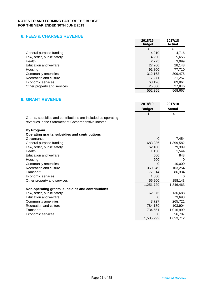### **8. FEES & CHARGES REVENUE**

|                             | 2018/19<br><b>Budget</b> | 2017/18<br><b>Actual</b> |
|-----------------------------|--------------------------|--------------------------|
|                             | \$                       | \$                       |
| General purpose funding     | 4,210                    | 4,716                    |
| Law, order, public safety   | 4,250                    | 5,655                    |
| Health                      | 2,275                    | 3,999                    |
| Education and welfare       | 27,260                   | 28,148                   |
| Housing                     | 91,800                   | 77,710                   |
| Community amenities         | 312,163                  | 309,475                  |
| Recreation and culture      | 17,271                   | 21,257                   |
| Economic services           | 68.126                   | 89,861                   |
| Other property and services | 25,000                   | 27,846                   |
|                             | 552.355                  | 568,667                  |

### **9. GRANT REVENUE**

|                                                               | 2018/19       | 2017/18       |
|---------------------------------------------------------------|---------------|---------------|
|                                                               | <b>Budget</b> | <b>Actual</b> |
|                                                               | \$            | \$            |
| Grants, subsidies and contributions are included as operating |               |               |
| revenues in the Statement of Comprehensive Income:            |               |               |
| <b>By Program:</b>                                            |               |               |
| Operating grants, subsidies and contributions                 |               |               |
| Governance                                                    | 0             | 7,454         |
| General purpose funding                                       | 683,236       | 1,399,582     |
| Law, order, public safety                                     | 62,180        | 79,309        |
| Health                                                        | 1,150         | 1,544         |
| Education and welfare                                         | 500           | 843           |
| Housing                                                       | 200           | $\Omega$      |
| Community amenities                                           | 0             | 10,000        |
| Recreation and culture                                        | 369,949       | 103,254       |
| Transport                                                     | 77,314        | 86,334        |
| Economic services                                             | 1,000         |               |
| Other property and services                                   | 56,200        | 158,143       |
|                                                               | 1,251,729     | 1,846,463     |
| Non-operating grants, subsidies and contributions             |               |               |
| Law, order, public safety                                     | 62,875        | 136,688       |
| <b>Education and welfare</b>                                  | 0             | 73,693        |
| Community amenities                                           | 3,727         | 265,721       |
| Recreation and culture                                        | 784,139       | 103,904       |
| Transport                                                     | 734,551       | 1,016,999     |
| Economic services                                             | 0             | 56,707        |
|                                                               | 1,585,292     | 1,653,712     |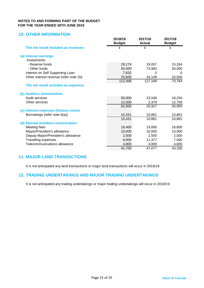### **10. OTHER INFORMATION**

|                                        | 2018/19<br><b>Budget</b> | 2017/18<br><b>Actual</b> | 2017/18<br><b>Budget</b> |
|----------------------------------------|--------------------------|--------------------------|--------------------------|
| The net result includes as revenues    | \$                       | \$                       | \$                       |
| (a) Interest earnings                  |                          |                          |                          |
| Investments                            |                          |                          |                          |
| - Reserve funds                        | 29,174                   | 19,057                   | 15,264                   |
| - Other funds                          | 50,000                   | 73,983                   | 30,000                   |
| Interest on Self Supporting Loan       | 7,632                    | O                        |                          |
| Other interest revenue (refer note 1b) | 25,600                   | 34,149                   | 25,500                   |
|                                        | 112,406                  | 127,189                  | 70,764                   |
| The net result includes as expenses    |                          |                          |                          |
| (b) Auditors remuneration              |                          |                          |                          |
| Audit services                         | 50,000                   | 23,548                   | 18,250                   |
| Other services                         | 12,000                   | 2,379                    | 12,700                   |
|                                        | 62,000                   | 25,927                   | 30,950                   |
| (c) Interest expenses (finance costs)  |                          |                          |                          |
| Borrowings (refer note 6(a))           | 10,431                   | 10,861                   | 10,861                   |
|                                        | 10,431                   | 10,861                   | 10,861                   |
| (d) Elected members remuneration       |                          |                          |                          |
| Meeting fees                           | 18,400                   | 19,000                   | 18,800                   |
| Mayor/President's allowance            | 10,000                   | 10,000                   | 10,000                   |
| Deputy Mayor/President's allowance     | 2,500                    | 2,500                    | 2,500                    |
| <b>Travelling expenses</b>             | 6,000                    | 11,377                   | 7,000                    |
| Telecommunications allowance           | 4,800                    | 4,800                    | 4,800                    |
|                                        | 41,700                   | 47,677                   | 43,100                   |

### **11. MAJOR LAND TRANSACTIONS**

It is not anticipated any land transactions or major land transactions will occur in 2018/19.

### **12. TRADING UNDERTAKINGS AND MAJOR TRADING UNDERTAKINGS**

It is not anticipated any trading undertakings or major trading undertakings will occur in 2018/19.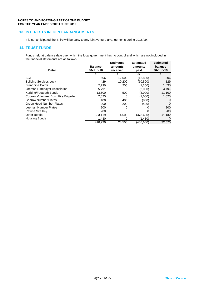### **13. INTERESTS IN JOINT ARRANGEMENTS**

It is not anticipated the Shire will be party to any joint venture arrangements during 2018/19.

### **14. TRUST FUNDS**

Funds held at balance date over which the local government has no control and which are not included in the financial statements are as follows:

| <b>Detail</b>                      | <b>Balance</b><br>30-Jun-18 | <b>Estimated</b><br>amounts<br>received | <b>Estimated</b><br>amounts<br>paid | <b>Estimated</b><br>balance<br>30-Jun-19 |
|------------------------------------|-----------------------------|-----------------------------------------|-------------------------------------|------------------------------------------|
|                                    | S                           | \$                                      | $($ \$)                             | \$                                       |
| <b>BCTIF</b>                       | 606                         | 12,500                                  | (12,800)                            | 306                                      |
| <b>Building Services Levy</b>      | 429                         | 10.200                                  | (10,500)                            | 129                                      |
| <b>Standpipe Cards</b>             | 2,730                       | 200                                     | (1,300)                             | 1,630                                    |
| Leeman Ratepayer Association       | 5.791                       | 0                                       | (2,000)                             | 3,791                                    |
| Kerbing/Footpath Bonds             | 13,600                      | 500                                     | (3,000)                             | 11,100                                   |
| Coorow Volunteer Bush Fire Brigade | 2,025                       | 0                                       | (1,000)                             | 1,025                                    |
| <b>Coorow Number Plates</b>        | 400                         | 400                                     | (800)                               | 0                                        |
| <b>Green Head Number Plates</b>    | 200                         | 200                                     | (400)                               | 0                                        |
| Leeman Number Plates               | 200                         |                                         |                                     | 200                                      |
| Refuse Site Key                    | 200                         |                                         |                                     | 200                                      |
| Other Bonds                        | 383,119                     | 4,500                                   | (373, 430)                          | 14,189                                   |
| <b>Housing Bonds</b>               | 1,430                       | 0                                       | (1,430)                             | 0                                        |
|                                    | 410,730                     | 28,500                                  | (406, 660)                          | 32,570                                   |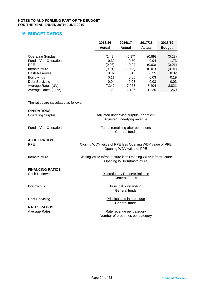### **15. BUDGET RATIOS**

|                               | 2015/16       | 2016/17       | 2017/18 | 2018/19       |
|-------------------------------|---------------|---------------|---------|---------------|
|                               | <b>Actual</b> | <b>Actual</b> | Actual  | <b>Budget</b> |
|                               |               |               |         |               |
| <b>Operating Surplus</b>      | (1.48)        | (0.87)        | (0.89)  | (0.28)        |
| <b>Funds After Operations</b> | 0.32          | 0.60          | 0.94    | 1.73          |
| <b>PPE</b>                    | (0.03)        | 0.02          | (0.03)  | (0.01)        |
| Infrastructure                | (0.01)        | (0.02)        | (0.01)  | (0.01)        |
| Cash Reserves                 | 0.37          | 0.15          | 0.25    | 0.32          |
| <b>Borrowings</b>             | 0.11          | 0.05          | 0.03    | 0.19          |
| <b>Debt Servicing</b>         | 0.04          | 0.03          | 0.03    | 0.03          |
| Average Rates (UV)            | 7,342         | 7.963         | 8.404   | 8,821         |
| Average Rates (GRV)           | 1.122         | 1,186         | 1,225   | 1,269         |
|                               |               |               |         |               |

The ratios are calculated as follows:

### **OPERATIONS**

| <b>Operating Surplus</b>      | Adjusted underlying surplus (or deficit)                   |
|-------------------------------|------------------------------------------------------------|
|                               | Adjusted underlying revenue                                |
| <b>Funds After Operations</b> | <b>Funds remaining after operations</b>                    |
|                               | General funds                                              |
| <b>ASSET RATIOS</b>           |                                                            |
| <b>PPE</b>                    | Closing WDV value of PPE less Opening WDV value of PPE     |
|                               | Opening WDV value of PPE                                   |
| Infrastructure                | Closing WDV Infrastructure less Opening WDV infrastructure |
|                               | Opening WDV Infrastructure                                 |
| <b>FINANCING RATIOS</b>       |                                                            |
| Cash Reserves                 | <b>Discretionary Reserve Balance</b>                       |
|                               | <b>General Funds</b>                                       |
| <b>Borrowings</b>             | <b>Principal outstanding</b>                               |
|                               | General funds                                              |
| Debt Servicing                | Principal and interest due                                 |
|                               | General funds                                              |
| <b>RATES RATIOS</b>           |                                                            |

Average Rates **Rate revenue per category** Number of properties per category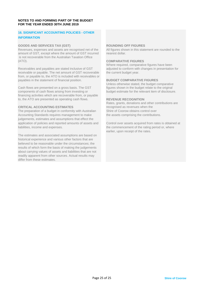### **16. SIGNIFICANT ACCOUNTING POLICIES - OTHER INFORMATION**

### **GOODS AND SERVICES TAX (GST) ROUNDING OFF FIGURES**

Revenues, expenses and assets are recognised net of the All figures shown in this statement are rounded to the amount of GST, except where the amount of GST incurred nearest dollar. is not recoverable from the Australian Taxation Office (ATO).

Receivables and payables are stated inclusive of GST adjusted to conform with receivable or payable. The net amount of GST recoverable the current budget year. receivable or payable. The net amount of GST recoverable from, or payable to, the ATO is included with receivables or payables in the statement of financial position. **BUDGET COMPARATIVE FIGURES**

Cash flows are presented on a gross basis. The GST figures shown in the budget relate to the original components of cash flows arising from investing or budget estimate for the relevant item of disclosure. components of cash flows arising from investing or financing activities which are recoverable from, or payable to, the ATO are presented as operating cash flows. **REVENUE RECOGNITION**

The preparation of a budget in conformity with Australian Accounting Standards requires management to make the assets comprising the contributions. judgements, estimates and assumptions that effect the application of policies and reported amounts of assets and Control over assets acquired from rates is obtained at liabilities, income and expenses. the commencement of the rating period or, where

The estimates and associated assumptions are based on historical experience and various other factors that are believed to be reasonable under the circumstances; the results of which form the basis of making the judgements about carrying values of assets and liabilities that are not readily apparent from other sources. Actual results may differ from these estimates.

### **COMPARATIVE FIGURES**

Where required, comparative figures have been<br>adjusted to conform with changes in presentation for

Unless otherwise stated, the budget comparative<br>figures shown in the budget relate to the original

Rates, grants, donations and other contributions are recognised as revenues when the **CRITICAL ACCOUNTING ESTIMATES**<br>The preparation of a budget in conformity with Australian Shire of Coorow obtains control over

earlier, upon receipt of the rates.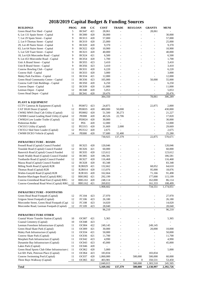# **2018/2019 Capital Budget & Funding Sources**

| <b>BUILDINGS</b>                                                              | <b>PROG</b> | <b>JOB</b>                      | C/C        | <b>COST</b>          | <b>TRADE</b>                                 | <b>RES/LOAN</b>                  | <b>GRANTS</b>            | <b>MUNI</b>       |
|-------------------------------------------------------------------------------|-------------|---------------------------------|------------|----------------------|----------------------------------------------|----------------------------------|--------------------------|-------------------|
| Green Head Fire Shed - Capital                                                | 5           | <b>BC047</b>                    | 421        | 28,061               | $\overline{a}$                               |                                  | 28,061                   |                   |
| 6, Lot 131 Spain Street - Capital                                             | 9           | <b>BC000</b>                    | 420        | 30,000               |                                              |                                  | L,                       | 30,000            |
| 7, Lot 29 Spain Street - Capital                                              | 9           | <b>BC013</b>                    | 420        | 57,000               |                                              |                                  | L,                       | 57,000            |
| 2, Lot 9 Thomas Street - Capital                                              | 9           | <b>BC019</b>                    | 420        | 25,000               | $\overline{a}$                               |                                  | Ĭ.                       | 25,000            |
| 29, Lot 49 Nairn Street - Capital                                             | 9           | <b>BC020</b>                    | 420        | 9,370                |                                              |                                  | $\overline{a}$           | 9,370             |
| 63, Lot 64 Nairn Street - Capital                                             | 9           | <b>BC022</b>                    | 420        | 10,900               |                                              |                                  | Ĭ.                       | 10,900            |
| 5, Lot 520 Tuart Street - Capital                                             | 9           | <b>BC023</b>                    | 420        | 40,000               |                                              |                                  |                          | 40,000            |
| 18, Lot 626 Morcombe Road - Capital                                           | 9           | <b>BC024</b>                    | 421        | 6,500                |                                              |                                  |                          | 6,500             |
| 9, Lot 453 Morcombe Road - Capital                                            | 9           | <b>BC054</b>                    | 420        | 1,700                |                                              |                                  |                          | 1,700             |
| Unit A Brand Street - Capital                                                 | 9           | <b>BC055</b>                    | 423        | 3,410                |                                              |                                  |                          | 3,410             |
| Unit B Brand Street - Capital                                                 | 9           | <b>BC056</b>                    | 423        | 3,410                |                                              |                                  |                          | 3,410             |
| Coorow Bowling Club - Capital                                                 | 11          | <b>BC031</b>                    | 420        | 6,220                |                                              |                                  |                          | 6,220             |
| Coorow Hall - Capital                                                         | 11          | <b>BC033</b>                    | 420        | 3,000<br>12,000      |                                              |                                  | $\overline{a}$           | 3,000             |
| Maley Park Facilities - Capital                                               | 11<br>11    | <b>BC034</b><br><b>BC036</b>    | 421<br>423 | 105,000              |                                              | $\overline{a}$<br>$\overline{a}$ | $\frac{1}{2}$<br>50,000  | 12,000            |
| Green Head Community Centre - Capital<br>Coorow Golf Club Buildings - Capital | 11          | <b>BC050</b>                    | 420        | 6,250                |                                              | $\overline{\phantom{a}}$         |                          | 55,000<br>6,250   |
| Coorow Depot - Capital                                                        | 12          | <b>BC039</b>                    | 420        |                      |                                              | $\overline{a}$                   | Ĭ.                       | 11,000            |
| Leeman Depot - Capital                                                        | 12          | <b>BC040</b>                    | 420        | 11,000<br>5,053      |                                              | $\overline{a}$                   |                          | 5,053             |
| Green Head Depot - Capital                                                    | 12          | <b>BC041</b>                    | 420        | 20,476               |                                              | $\overline{a}$                   |                          | 20,476            |
|                                                                               |             |                                 |            | 384,350              | $\overline{a}$                               | $\overline{a}$                   | 78,061                   | 306,289           |
|                                                                               |             |                                 |            |                      |                                              |                                  |                          |                   |
| <b>PLANT &amp; EQUIPMENT</b>                                                  |             |                                 |            |                      |                                              |                                  |                          |                   |
| CCTV Cameras & Equipment (Capital)                                            | 5           | PE0072                          | 423        | 24,875               |                                              |                                  | 22,875                   | 2,000             |
| CAT DGH Dozer (Capital)                                                       | 12          | PE0035                          | 420        | 480,000              | 50,000                                       | $\overline{\phantom{a}}$         | $\frac{1}{2}$            | 430,000           |
| CW002 MWS Dual Cab Utility (Capital)                                          | 12          | <b>PE0002</b>                   | 420        | 51,500               | 30,273                                       |                                  | Ĭ.                       | 21,227            |
| CW008 Coastal Leading Hand Utility (Capital                                   | 12          | <b>PE008</b>                    | 420        | 40,526               | 22,706                                       |                                  | $\overline{a}$           | 17,820            |
| CW0024 Low Loader Trailer (Capital)                                           | 12          | PE0024                          | 420        | 30,000               | $\overline{\phantom{a}}$                     | $\overline{\phantom{a}}$         | $\overline{a}$           | 30,000            |
| Pedestrian Roller                                                             | 12          | PE6                             | 420        | 12,000               | $\overline{\phantom{a}}$                     |                                  | $\overline{a}$           | 12,000            |
| CW3315 Utility (Capital)                                                      | 12          | PE3315                          | 420        | 31,669               | 2,000                                        |                                  | Ĭ.                       | 29,669            |
| CW3512 Skid Steer Loader (Capital)                                            | 12          | PE3512                          | 420        | 2,675                | $\overline{\phantom{a}}$                     | $\overline{\phantom{a}}$         | $\overline{\phantom{a}}$ | 2,675             |
| CW000 DCEO Vehicle (Capital)                                                  | 14          | <b>PE000</b>                    | 420        | 57,680               | 32,400                                       | $\sim$                           | L,                       | 25,280            |
|                                                                               |             |                                 |            | 730,925              | 137,379                                      | $\overline{a}$                   | 22,875                   | 570,671           |
| <b>INFRASTRUCTURE - ROADS</b>                                                 |             |                                 |            |                      |                                              |                                  |                          |                   |
| Fennell Road (Capital) Council Funded                                         | 12          | <b>RC025</b>                    | 420        | 120,046              |                                              |                                  |                          | 120,046           |
| Teasdale Road (Capital) Council Funded                                        | 12          | <b>RC026</b>                    | 421        | 60,000               |                                              |                                  | $\overline{a}$           | 60,000            |
| Banovich Road (Capital) Council Funded                                        | 12          | <b>RC035</b>                    | 420        | 123,612              | $\overline{a}$                               | $\overline{a}$                   | $\overline{a}$           | 123,612           |
| South Waddy Road (Capital) Council Funded                                     | 12          | <b>RC005</b>                    | 420        | 186,581              |                                              | $\overline{\phantom{0}}$         | Ĭ.                       | 186,581           |
| Tootbardie Road (Capital) Council Funded                                      | 12          | <b>RC027</b>                    | 420        | 116,468              |                                              |                                  | $\overline{a}$           | 116,468           |
| Mazza Road (Capital) Council Funded                                           | 12          | <b>RC028</b>                    | 420        | 83,348               | ÷                                            | $\overline{\phantom{a}}$         | $\overline{a}$           | 83,348            |
| Miling North Road (Capital) R2R                                               | 12          | R2R029                          | 421        | 132,662              |                                              | $\overline{a}$                   | 68,052                   | 64,610            |
| Thomas Road (Capital) R2R                                                     | 12          | R2R014                          | 420        | 113,076              |                                              | $\overline{a}$                   | 95,000                   | 18,076            |
| Wubin-Gunyidi Road (Capital) R2R                                              | 12          | R <sub>2</sub> R <sub>165</sub> | 420        | 162,664              |                                              | $\overline{a}$                   | 71,166                   | 91,498            |
| Buntine-Marchagee Road (Capital) RRG                                          | 12          | <b>RRG002</b>                   | 421        | 292,199              | $\overline{a}$                               | $\overline{a}$                   | 177,000                  | 115,199           |
| Coorow-Greenhead Road East (Capital) RRG                                      | 12          | <b>RRG161</b>                   | 420        | 248,114              |                                              |                                  | 162,000                  | 86,114            |
| Coorow-Greenhead Road West (Capital) RRG                                      | 12          | <b>RRG162</b>                   | 421        | 269,832              |                                              |                                  | 161,333                  | 108,499           |
|                                                                               |             |                                 |            | 1,908,602            |                                              |                                  | 734,551                  | 1,174,051         |
| <b>INFRASTRUCTURE - FOOTPATHS</b>                                             |             |                                 |            |                      |                                              |                                  |                          |                   |
| Green Head Road Footpath (Capital)                                            | 12          | FC104                           | 423        | 27,970               |                                              |                                  |                          | 27,970            |
| Grigson Street Footpath (Capital)                                             | 12          | <b>FC106</b>                    | 423        | 26,180               |                                              |                                  |                          | 26,180            |
| Morcombe Street, Green Head Footpath (Capi                                    | 12          | <b>FC108</b>                    | 423        | 14,020               |                                              |                                  | L,                       | 14,020            |
| Morcombe Road, Leeman Footpath (Capital)                                      | 12          | FC109                           | 423        | 28,040               |                                              |                                  |                          | 28,040            |
|                                                                               |             |                                 |            | 96,210               | $\overline{a}$                               | $\overline{\phantom{a}}$         | $\overline{a}$           | 96,210            |
|                                                                               |             |                                 |            |                      |                                              |                                  |                          |                   |
| <b>INFRASTRUCTURE OTHER</b>                                                   |             |                                 |            |                      |                                              |                                  |                          |                   |
| Coastal Waste Transfer Station (Capital)                                      | 10          | <b>OC007</b>                    | 421        | 5,365                |                                              |                                  |                          | 5,365             |
| Coastal Cemetery (Capital)                                                    | 10          | <b>OC048</b>                    | 423        |                      |                                              |                                  |                          |                   |
| Leeman Foreshore Infrastructure (Capital)                                     | 11          | <b>OC004</b>                    | 422        | 249,145              |                                              |                                  | 249,145                  | $\overline{a}$    |
| Green Head Skate Park (Capital)                                               | 11          | OC009                           | 421        | 30,000               |                                              | L,                               | 20,000                   | 10,000            |
| Maley Park Infrastructure (Capital)                                           | 11          | OC034                           | 421        | 50,000               |                                              | $\overline{\phantom{a}}$         |                          | 50,000            |
| Coorow Skate Park (Capital)                                                   | 11          | OC036                           | 421        | 11,700               |                                              |                                  |                          | 11,700            |
| Morphett Park Infrastructure (Capital)                                        | 11          | OC042                           | 423        | 4,990                |                                              |                                  |                          | 4,990             |
| Dynamite Bay Infrastructure (Capital)                                         | 11          | OC043                           | 423        | 45,000               |                                              |                                  |                          | 45,000            |
| Lakes Park (Capital)                                                          | 11          | OC046                           | 420        |                      |                                              |                                  |                          | L,                |
| Green Head Sports Club Other Infrastructure (                                 | 11          | OC062                           | 420        | 5,000                |                                              |                                  | L,                       | 5,000             |
| Lot 601 Park, Peterson Place (Capital)                                        | 11          | OC064                           | 423        | 183,834              |                                              | $\overline{\phantom{a}}$         | 183,834                  |                   |
| Coorow Swimming Pool (Capital)                                                | 11          | OC037                           | 420        | 1,060,000            |                                              | 500,000                          | 500,000                  | 60,000            |
| Three Bays Walkway (Capital)                                                  | 11          | OC065                           | 422        | 403,981<br>2,049,015 | $\boldsymbol{0}$<br>$\overline{\phantom{a}}$ | $\boldsymbol{0}$<br>500,000      | 350,531<br>1,303,510     | 53,450<br>245,505 |
| Total                                                                         |             |                                 |            | 5,169,102            | 137,379                                      | 500,000                          | 2,138,997                | 2,392,726         |
|                                                                               |             |                                 |            |                      |                                              |                                  |                          |                   |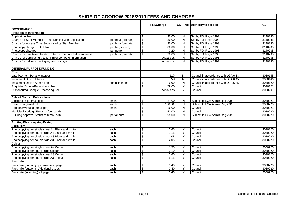| SHIRE OF COOROW 2018/2019 FEES AND CHARGES                      |                     |                          |             |                         |                                       |         |
|-----------------------------------------------------------------|---------------------|--------------------------|-------------|-------------------------|---------------------------------------|---------|
|                                                                 |                     |                          | Fee/Charge  |                         | <b>GST Incl.</b> Authority to set Fee | GL      |
|                                                                 |                     |                          |             |                         |                                       |         |
| <b>GOVERNANCE</b>                                               |                     |                          |             |                         |                                       |         |
| <b>Freedom of Information</b>                                   |                     |                          |             |                         |                                       |         |
| <b>Application Fee</b>                                          |                     | \$                       | 30.00       | N                       | Set by FOI Regs 1993                  | 3140235 |
| Charge for Staff Member's Time Dealing with Application         | per hour (pro rata) | $\overline{\mathcal{L}}$ | 30.00       | N                       | Set by FOI Regs 1993                  | 3140235 |
| Charge for Access Time Supervised by Staff Member               | per hour (pro rata) | \$                       | 30.00       | ${\sf N}$               | Set by FOI Regs 1993                  | 3140235 |
| Photocopy charges - staff time                                  | per hr (pro rata)   | $\overline{\$}$          | 30.00       | N                       | Set by FOI Regs 1993                  | 3140235 |
| Photocopy charges                                               | per page            | \$                       | 0.20        | N                       | Set by FOI Regs 1993                  | 3140235 |
| Charge for time taken by staff to transcribe data between media | per hour (pro rata) | \$                       | 30.00       | $\overline{N}$          | Set by FOI Regs 1993                  | 3140235 |
| Charge for duplicating a tape, film or computer information     |                     |                          | actual cost | ${\sf N}$               | Set by FOI Regs 1993                  | 3140235 |
| Charge for delivery, packaging and postage                      |                     |                          | actual cost | N                       | Set by FOI Regs 1993                  | 3140235 |
| <b>GENERAL PURPOSE FUNDING</b>                                  |                     |                          |             |                         |                                       |         |
| <b>Rates</b>                                                    |                     |                          |             |                         |                                       |         |
| Late Payment Penalty Interest                                   |                     |                          | 11%         | N                       | Council in accordance with LGA 6.13   | 3030145 |
| <b>Instalment Option Interest</b>                               |                     |                          | 5.5%        | ${\sf N}$               | Council in accordance with LGA 6.45   | 3030146 |
| Instalment Option Admin Fee                                     | per instalment      | \$                       | 6.00        | N                       | Council in accordance with LGA 6.45   | 3030120 |
| Enquiries/Orders/Requisitions Fee                               |                     | $\overline{\$}$          | 79.00       | Υ                       | Council                               | 3030121 |
| Dishonoured Cheque Processing Fee                               |                     |                          | actual cost | Y                       | Council                               | 3030201 |
|                                                                 |                     |                          |             |                         |                                       |         |
| <b>Sale of Council Publications</b>                             |                     |                          |             |                         |                                       |         |
| Electoral Roll (email pdf)                                      | each                | \$                       | 27.00       | N                       | Subject to LGA Admin Reg 29B          | 3030221 |
| Rate Book (email pdf)                                           | each                | \$                       | 100.00      | N                       | Subject to LGA Admin Reg 29B          | 3030220 |
| Agendas/Minutes (email pdf)                                     | each                | $\overline{\mathbf{e}}$  | 16.00       | N                       | Council                               | 3030221 |
| Municipal Heritage Register (unbound)                           |                     | $\overline{\mathcal{L}}$ | 53.00       | $\overline{\mathsf{N}}$ | Council                               | 3030220 |
| Building Approval Statistics (email pdf)                        | per annum           | \$                       | 95.00       | N                       | Subject to LGA Admin Reg 29B          | 3030220 |
|                                                                 |                     |                          |             |                         |                                       |         |
| Printing/Photocopying/Faxing                                    |                     |                          |             |                         |                                       |         |
| <b>Black only</b>                                               |                     |                          |             |                         |                                       |         |
| Photocopying per single sheet A4 Black and White                | each                | \$                       | 0.65        | Y                       | Council                               | 3030220 |
| Photocopying per double side A4 Black and White                 | each                | $\overline{\mathbf{e}}$  | 1.15        | Υ                       | Council                               | 3030220 |
| Photocopying per single sheet A3 Black and White                | each                | \$                       | 1.05        | Y                       | Council                               | 3030220 |
| Photocopying per double side A3 Black and White                 | each                | \$                       | 2.05        | $\overline{Y}$          | Council                               | 3030220 |
| Colour                                                          |                     |                          |             |                         |                                       |         |
| Photocopying per single sheet A4 Colour                         | each                | \$                       | 1.55        | Y                       | Council                               | 3030220 |
| Photocopying per double side Colour                             | each                | $\overline{\mathbf{S}}$  | 3.10        | Y                       | Council                               | 3030220 |
| Photocopying per single sheet A3 Colour                         | each                | \$                       | 2.60        | Y                       | Council                               | 3030220 |
| Photocopying per double side A3 Colour                          | each                | \$                       | 5.15        | Y                       | Council                               | 3030220 |
| Facsimile                                                       |                     |                          |             |                         |                                       |         |
| Facsimile (outgoing) per minute - 1page                         | each                | \$                       | 3.40        | Υ                       | Council                               | 3030220 |
| Facsimile (outgoing) Additional pages                           | each                | \$                       | 3.40        | Y                       | Council                               | 3030220 |
| Facsimile (incoming) - 1 page                                   | each                | \$                       | 3.40        | Y                       | Council                               | 3030220 |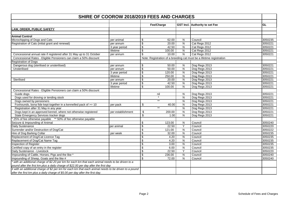| SHIRE OF COOROW 2018/2019 FEES AND CHARGES                                                           |                   |    |            |                         |                                                                      |         |
|------------------------------------------------------------------------------------------------------|-------------------|----|------------|-------------------------|----------------------------------------------------------------------|---------|
|                                                                                                      |                   |    |            |                         |                                                                      |         |
|                                                                                                      |                   |    | Fee/Charge |                         | <b>GST Incl.</b> Authority to set Fee                                | GL      |
| <b>LAW, ORDER, PUBLIC SAFETY</b>                                                                     |                   |    |            |                         |                                                                      |         |
|                                                                                                      |                   |    |            |                         |                                                                      |         |
| <b>Animal Control</b>                                                                                |                   |    |            |                         |                                                                      |         |
| Microchipping of Dogs and Cats                                                                       | per animal        | \$ | 62.00      | N                       | Council                                                              | 3050235 |
| Registration of Cats (initial grant and renewal)                                                     | per annum         | \$ | 20.00      | ${\sf N}$               | Cat Regs 2012                                                        | 3050221 |
|                                                                                                      | 3 year period     | \$ | 42.50      | N                       | Cat Regs 2012                                                        | 3050221 |
|                                                                                                      | lifetime          | \$ | 100.00     | $\mathsf{N}$            | Cat Regs 2012                                                        | 3050221 |
| Concessional annual rate if registered after 31 May up to 31 October                                 | per annum         | \$ | 10.00      | $\overline{N}$          | Cat Regs 2012                                                        | 3050221 |
| Concessional Rates - Eligible Pensioners can claim a 50% discount                                    |                   |    |            |                         | Note: Registration of a breeding cat must be a lifetime registration |         |
| <b>Registration of Dogs</b>                                                                          |                   |    |            |                         |                                                                      |         |
| Dangerous dog (sterilised or unsterilised)                                                           | per annum         | \$ | 50.00      | N                       | Dog Regs 2013                                                        | 3050221 |
| Unsterilised                                                                                         | per annum         | \$ | 50.00      | $\overline{\mathsf{N}}$ | Dog Regs 2013                                                        | 3050221 |
|                                                                                                      | 3 year period     | \$ | 120.00     | ${\sf N}$               | Dog Regs 2013                                                        | 3050221 |
|                                                                                                      | lifetime          | \$ | 250.00     | ${\sf N}$               | Dog Regs 2013                                                        | 3050221 |
| Sterilised                                                                                           | per annum         | \$ | 20.00      | $\overline{N}$          | Dog Regs 2013                                                        | 3050221 |
|                                                                                                      | 3 year period     | \$ | 42.50      | ${\sf N}$               | Dog Regs 2013                                                        | 3050221 |
|                                                                                                      | lifetime          | \$ | 100.00     | N                       | Dog Regs 2013                                                        | 3050221 |
| Concessional Rates - Eligible Pensioners can claim a 50% discount                                    |                   |    |            |                         |                                                                      |         |
| Guide dogs                                                                                           |                   |    | nil        | N                       | Dog Regs 2013                                                        | 3050221 |
| Dogs used for droving or tending stock                                                               |                   |    |            | N                       | Dog Regs 2013                                                        | 3050221 |
| Dogs owned by pensioners                                                                             |                   |    | $***$      | ${\sf N}$               | Dog Regs 2013                                                        | 3050221 |
| Foxhounds, bona fide kept together in a kennelled pack of >= 10                                      | per pack          | \$ | 40.00      | $\overline{\mathsf{N}}$ | Dog Regs 2013                                                        | 3050221 |
| Registration after 31 May in any year                                                                |                   |    | $**$       | ${\sf N}$               | Dog Regs 2013                                                        | 3050221 |
| Dogs kept in an approved kennel, where not otherwise registered                                      | per establishment | \$ | 200.00     | ${\sf N}$               | Dog Regs 2013                                                        | 3050221 |
| State Emergency Services tracker dogs                                                                |                   | \$ | 1.00       | ${\sf N}$               | Dog Regs 2013                                                        | 3050221 |
| 25% of fee otherwise payable ** 50% of fee otherwise payable                                         |                   |    |            |                         |                                                                      |         |
| Seizure & Impounding of Animal                                                                       |                   | \$ | 123.00     | ${\sf N}$               | Council                                                              | 3050240 |
| Daily Sustenance                                                                                     | per animal        | \$ | 22.50      | Y                       | Council                                                              | 3050220 |
| Surrender and/or Destruction of Dog/Cat                                                              |                   | \$ | 121.00     | ${\sf N}$               | Council                                                              | 3050222 |
| Hire of Dog Barking Collar                                                                           | per week          | \$ | 32.00      | $\overline{\mathsf{N}}$ | Council                                                              | 3050235 |
| Replacement of Dog/Cat Licence Tag                                                                   |                   | \$ | 4.20       | $\overline{\mathsf{N}}$ | Council                                                              | 3050235 |
| Replacement of Dog/Cat Name Tag                                                                      |                   | \$ | 4.20       | $\overline{\mathsf{N}}$ | Council                                                              | 3050235 |
| Inspection of Register                                                                               |                   | \$ | 3.00       | ${\sf N}$               | Council                                                              | 3050235 |
| Certified copy of an entry in the register                                                           |                   | \$ | 6.00       | ${\sf N}$               | Council                                                              | 3050235 |
| Daily Sustenance - Livestock                                                                         |                   | \$ | 22.50      | $\overline{Y}$          | Council                                                              | 3050220 |
| Impounding of Cattle, Horses, Pigs and the like *                                                    |                   | \$ | 236.00     | $\mathsf{N}$            | Council                                                              | 3050240 |
| Impounding of Sheep, Goats and the like #                                                            |                   | \$ | 72.00      | N                       | Council                                                              | 3050240 |
| with an additional charge of \$2.20 per km for each km that each animal needs to be driven to a      |                   |    |            |                         |                                                                      |         |
| pound after the first km plus a daily charge of \$22.00 per day after the first day                  |                   |    |            |                         |                                                                      |         |
| # with an additional charge of \$2 per km for each km that each animal needs to be driven to a pound |                   |    |            |                         |                                                                      |         |
| after the first km plus a daily charge of \$5.00 per day after the first day.                        |                   |    |            |                         |                                                                      |         |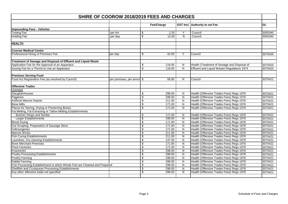| SHIRE OF COOROW 2018/2019 FEES AND CHARGES                                 |                            |    |            |                         |                                             |         |
|----------------------------------------------------------------------------|----------------------------|----|------------|-------------------------|---------------------------------------------|---------|
|                                                                            |                            |    | Fee/Charge |                         | GST Incl. Authority to set Fee              | GL      |
| <b>Impounding Fees - Vehicles</b>                                          |                            |    |            |                         |                                             |         |
| <b>Towing Fee</b>                                                          | per km                     | \$ | 2.20       | Υ                       | Council                                     | 3050340 |
| <b>Holding Fee</b>                                                         | per day                    | \$ | 12.00      | $\overline{\mathsf{N}}$ | Council                                     | 3050340 |
|                                                                            |                            |    |            |                         |                                             |         |
| <b>HEALTH</b>                                                              |                            |    |            |                         |                                             |         |
| <b>Coorow Medical Centre</b>                                               |                            |    |            |                         |                                             |         |
| Professional Hiring of Premises Fee                                        | per day                    | \$ | 42.00      | Y                       | Council                                     | 3070435 |
| Treatment of Sewage and Disposal of Effluent and Liquid Waste              |                            |    |            |                         |                                             |         |
| Application Fee for the Approval of an Apparatus                           |                            | \$ | 118.00     | N                       | Health (Treatment of Sewage and Disposal of | 3070420 |
| Issuing Fee for a 'Permit to Use an Apparatus'                             |                            | \$ | 118.00     | N                       | Effluent and Liquid Waste) Regulations 1974 | 3070420 |
|                                                                            |                            |    |            |                         |                                             |         |
| <b>Premises Serving Food</b>                                               |                            |    |            |                         |                                             |         |
| Food Act Registration Fee (as resolved by Council)                         | per premises, per annur \$ |    | 58.00      | N                       | Council                                     | 3070421 |
| <b>Offensive Trades</b>                                                    |                            |    |            |                         |                                             |         |
| icenses                                                                    |                            |    |            |                         |                                             |         |
| Slaughterhouses                                                            |                            | \$ | 298.00     | N                       | Health (Offensive Trades Fees) Regs 1976    | 3070421 |
| Piggeries                                                                  |                            | \$ | 298.00     | N                       | Health (Offensive Trades Fees) Regs 1976    | 3070421 |
| <b>Artificial Manure Depots</b>                                            |                            | \$ | 211.00     | N                       | Health (Offensive Trades Fees) Regs 1976    | 3070421 |
| <b>Bone Mills</b>                                                          |                            | \$ | 171.00     | ${\sf N}$               | Health (Offensive Trades Fees) Regs 1976    | 3070421 |
| Places for Storing, Drying or Preserving Bones                             |                            | \$ | 171.00     | N                       | Health (Offensive Trades Fees) Regs 1976    | 3070421 |
| Fat Melting, Fat Extracting or Tallow Melting Establishments:              |                            |    |            |                         |                                             |         |
| - Butcher Shops and Similar                                                |                            | \$ | 171.00     | N                       | Health (Offensive Trades Fees) Regs 1976    | 3070421 |
| - Larger Establishments                                                    |                            | \$ | 298.00     | N                       | Health (Offensive Trades Fees) Regs 1976    | 3070421 |
| <b>Blood Drying</b>                                                        |                            | \$ | 171.00     | N                       | Health (Offensive Trades Fees) Regs 1976    | 3070421 |
| Gut Scraping, Preparation of Sausage Skins                                 |                            | \$ | 171.00     | N                       | Health (Offensive Trades Fees) Regs 1976    | 3070421 |
| Fellmongeries                                                              |                            | \$ | 171.00     | N                       | Health (Offensive Trades Fees) Regs 1976    | 3070421 |
| <b>Manure Works</b>                                                        |                            | \$ | 211.00     | N                       | Health (Offensive Trades Fees) Regs 1976    | 3070421 |
| <b>Fish Curing Establishments</b>                                          |                            | \$ | 211.00     | ${\sf N}$               | Health (Offensive Trades Fees) Regs 1976    | 3070421 |
| Laundries, Dry-cleaning Establishments                                     |                            | \$ | 147.00     | N                       | Health (Offensive Trades Fees) Regs 1976    | 3070421 |
| <b>Bone Merchant Premises</b>                                              |                            | \$ | 171.00     | $\overline{\mathsf{N}}$ | Health (Offensive Trades Fees) Regs 1976    | 3070421 |
| <b>Flock Factories</b>                                                     |                            | \$ | 171.00     | ${\sf N}$               | Health (Offensive Trades Fees) Regs 1976    | 3070421 |
| <b>Knackeries</b>                                                          |                            | \$ | 298.00     | $\overline{N}$          | Health (Offensive Trades Fees) Regs 1976    | 3070421 |
| <b>Poultry Processing Establishments</b>                                   |                            | \$ | 298.00     | N                       | Health (Offensive Trades Fees) Regs 1976    | 3070421 |
| Poultry Farming                                                            |                            | \$ | 298.00     | N                       | Health (Offensive Trades Fees) Regs 1976    | 3070421 |
| Rabbit Farming                                                             |                            | \$ | 298.00     | N                       | Health (Offensive Trades Fees) Regs 1976    | 3070421 |
| Fish Processing Establishment in which Whole Fish are Cleaned and Prepared |                            | \$ | 298.00     | ${\sf N}$               | Health (Offensive Trades Fees) Regs 1976    | 3070421 |
| Shellfish and Crustacean Processing Establishments                         |                            | \$ | 298.00     | ${\sf N}$               | Health (Offensive Trades Fees) Regs 1976    | 3070421 |
| Any other offensive trade not specified                                    |                            | \$ | 298.00     | $\mathsf{N}$            | Health (Offensive Trades Fees) Regs 1976    | 3070421 |
|                                                                            |                            |    |            |                         |                                             |         |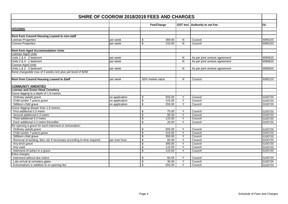| <b>SHIRE OF COOROW 2018/2019 FEES AND CHARGES</b>                      |                |    |                  |                |                                |         |
|------------------------------------------------------------------------|----------------|----|------------------|----------------|--------------------------------|---------|
|                                                                        |                |    |                  |                |                                | GL      |
|                                                                        |                |    | Fee/Charge       |                | GST Incl. Authority to set Fee |         |
| <b>HOUSING</b>                                                         |                |    |                  |                |                                |         |
|                                                                        |                |    |                  |                |                                |         |
| Rent from Council Housing Leased to non-staff                          |                |    |                  |                |                                |         |
| Leeman Properties                                                      | per week       | \$ | 369.00           | N              | Council                        | 3090220 |
| <b>Coorow Properties</b>                                               | per week       | \$ | 210.00           | N              | Council                        | 3090220 |
| <b>Rent from Aged Accommodation Units</b>                              |                |    |                  |                |                                |         |
| Leeman Aged Units                                                      |                |    |                  |                |                                |         |
| Units 1 & 4 - 2 bedroom                                                | per week       |    |                  | N              | As per joint venture agreement | 3080620 |
| Units 2 & 3 - 1 bedroom                                                | per week       |    |                  | N              | As per joint venture agreement | 3080620 |
| Coorow Aged Units                                                      |                |    |                  |                |                                |         |
| Units 1 & 2 - 2 bedroom                                                | per week       |    |                  | N              | As per joint venture agreement | 3080620 |
| Bond chargeable max of 4 weeks rent plus pet bond of \$260             |                |    |                  |                |                                |         |
|                                                                        |                |    |                  |                |                                |         |
| Rent from Council Housing Leased to Staff                              | per week       |    | 50% market value | N              | Council                        | 3090120 |
|                                                                        |                |    |                  |                |                                |         |
| <b>COMMUNITY AMENITIES</b>                                             |                |    |                  |                |                                |         |
| <b>Leeman and Green Head Cemetery</b>                                  |                |    |                  |                |                                |         |
| Grave digging to a depth of 1.8 metres:                                |                |    |                  |                |                                |         |
| Ordinary (adult) grave                                                 | on application | \$ | 555.00           | Y              | Council                        | 3100720 |
| Child (under 7 years) grave                                            | on application | \$ | 415.00           | Y              | Council                        | 3100720 |
| Stillborn child grave                                                  | on application | \$ | 350.00           | Y              | Council                        | 3100720 |
| Grave digging deeper than 1.8 metres:                                  |                |    |                  |                |                                |         |
| First additional 0.3 metre                                             |                | \$ | 75.00            | Y              | Council                        | 3100720 |
| Second additional 0.3 metre                                            |                | \$ | 95.00            | $\overline{Y}$ | Council                        | 3100720 |
| Third additional 0.3 metre                                             |                | \$ | 115.00           | Y              | Council                        | 3100720 |
| Each additional 0.3 metre thereafter                                   |                | \$ | 20.00            | Y              | Council                        | 3100720 |
| Re-opening a grave for each interment or exhumation:                   |                |    |                  |                |                                |         |
| Ordinary (adult) grave                                                 |                | \$ | 555.00           | Y              | Council                        | 3100720 |
| Child (under 7 years) grave                                            |                | \$ | 415.00           | Υ              | Council                        | 3100720 |
| Stillborn child grave                                                  |                | \$ | 350.00           | $\overline{Y}$ | Council                        | 3100720 |
| Removal of kerbing, tiles, etc if necessary according to time required | per man hour   | \$ | 60.00            | Υ              | Council                        | 3100720 |
| Any brick grave                                                        |                | \$ | 380.00           | Υ              | Council                        | 3100720 |
| Any vault                                                              |                | \$ | 115.00           | $\overline{Y}$ | Council                        | 3100720 |
| Interment of ashes in a grave                                          |                | \$ | 115.00           | Y              | Council                        | 3100720 |
| Extra charges:                                                         |                |    |                  |                |                                |         |
| Interment without due notice                                           |                | \$ | 60.00            | Y              | Council                        | 3100720 |
| Late arrival at cemetery gates                                         |                | \$ | 30.00            | $\overline{Y}$ | Council                        | 3100720 |
| Exhumations in addition to re-opening fee                              |                | \$ | 555.00           | $\overline{Y}$ | Council                        | 3100720 |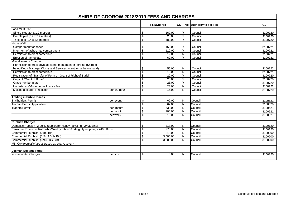| <b>SHIRE OF COOROW 2018/2019 FEES AND CHARGES</b>                             |              |                          |            |                |                                       |           |
|-------------------------------------------------------------------------------|--------------|--------------------------|------------|----------------|---------------------------------------|-----------|
|                                                                               |              |                          |            |                |                                       |           |
|                                                                               |              |                          | Fee/Charge |                | <b>GST Incl.</b> Authority to set Fee | <b>GL</b> |
| Land for Burial:                                                              |              |                          |            |                |                                       |           |
| Single plot (2.4 x 1.2 metres)                                                |              | \$                       | 160.00     | Y              | Council                               | 3100720   |
| Double plot (2.4 x 2.4 metres)                                                |              | \$                       | 320.00     | $\overline{Y}$ | Council                               | 3100720   |
| Triple plot (2.4 x 3.5 metres)                                                |              | \$                       | 480.00     | Y              | Council                               | 3100720   |
| Niche Wall:                                                                   |              |                          |            |                |                                       |           |
| Compartment for ashes                                                         |              | \$                       | 160.00     | Y              | Council                               | 3100721   |
| Interment of ashes into compartment                                           |              | \$                       | 110.00     | Y              | Council                               | 3100721   |
| Permission to erect nameplate                                                 |              | \$                       | 12.00      | ${\sf N}$      | Council                               | 3100721   |
| <b>Erection of nameplate</b>                                                  |              | \$                       | 60.00      | Y              | Council                               | 3100721   |
| Miscellaneous Charges:                                                        |              |                          |            |                |                                       |           |
| Permission to erect anyheadstone, monument or kerbing (Shire to               |              |                          |            |                |                                       |           |
| be notified - Manager Works and Services to authorise beforehand)             |              | \$                       | 55.00      | N              | Council                               | 3100722   |
| Permission to erect nameplate                                                 |              | $\overline{\mathbf{s}}$  | 12.00      | $\mathsf{N}$   | Council                               | 3100721   |
| Registration of "Transfer of Form of Grant of Right of Burial"                |              | \$                       | 20.00      | $\overline{Y}$ | Council                               | 3100720   |
| Copy of "Grant of Burial"                                                     |              | \$                       | 20.00      | Y              | Council                               | 3100720   |
| Grave number plate                                                            |              | \$                       | 26.00      | Y              | Council                               | 3100720   |
| Undertakers/Monumental licence fee                                            |              | $\overline{\mathcal{L}}$ | 23.00      | $\overline{N}$ | Council                               | 3100722   |
| Making a search in register                                                   | per 1/2 hour | \$                       | 16.00      | N              | Council                               | 3100720   |
| <b>Trading in Public Places</b>                                               |              |                          |            |                |                                       |           |
| <b>Stallholders Permit</b>                                                    | per event    | \$                       | 62.00      | N              | Council                               | 3100621   |
| <b>Traders Permit Application</b>                                             |              | \$                       | 62.00      | N              | Council                               | 3100620   |
| <b>Traders Permit</b>                                                         | per annum    | \$                       | 530.00     | $\mathsf{N}$   | Council                               | 3100621   |
|                                                                               | per month    | $\overline{\mathcal{L}}$ | 108.00     | N              | Council                               | 3100621   |
|                                                                               | per week     | \$                       | 318.00     | N              | Council                               | 3100621   |
| <b>Rubbish Charges</b>                                                        |              |                          |            |                |                                       |           |
| Domestic Rubbish (Weekly rubbish/fortnightly recycling - 240L Bins)           |              | \$                       | 318.00     | N              | Council                               | 3100120   |
| Pensioner Domestic Rubbish (Weekly rubbish/fortnightly recycling - 240L Bins) |              | \$                       | 270.00     | $\mathsf{N}$   | Council                               | 3100120   |
| Commercial Rubbish (240L Bin)                                                 |              | \$                       | 318.00     | N              | Council                               | 3100200   |
| Commercial Rubbish (1.5m3 Bulk Bin)                                           |              | \$                       | 3,000.00   | N              | Council                               | 3100200   |
| Commercial Rubbish (3m3 Bulk Bin)                                             |              | \$                       | 3,000.00   | $\mathsf{N}$   | Council                               | 3100200   |
| NB: Commercial charges based on cost recovery.                                |              |                          |            |                |                                       |           |
| <b>Leeman Septage Pond</b>                                                    |              |                          |            |                |                                       |           |
| <b>Waste Water Charges</b>                                                    | per litre    | \$                       | 0.06       | N              | Council                               | 3100320   |
|                                                                               |              |                          |            |                |                                       |           |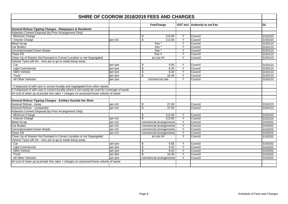| SHIRE OF COOROW 2018/2019 FEES AND CHARGES                                                       |          |    |                         |                |                                       |         |  |  |
|--------------------------------------------------------------------------------------------------|----------|----|-------------------------|----------------|---------------------------------------|---------|--|--|
|                                                                                                  |          |    | Fee/Charge              |                | <b>GST Incl.</b> Authority to set Fee | GL      |  |  |
|                                                                                                  |          |    |                         |                |                                       |         |  |  |
| <b>General Refuse Tipping Charges - Ratepayers &amp; Residents</b>                               |          |    |                         |                |                                       |         |  |  |
| Asbestos Cement Disposal (by Prior Arrangement Only)                                             |          |    |                         |                |                                       |         |  |  |
| Minimum Charge                                                                                   |          | \$ | 113.00                  | Υ              | Council                               | 3100220 |  |  |
| Volume Charge                                                                                    | per m3   | \$ | 113.00                  | Y              | Council                               | 3100220 |  |  |
| <b>Metal Scrap</b>                                                                               |          |    | free *                  | Y              | Council                               | 3100123 |  |  |
| Car Bodies                                                                                       |          |    | free *                  | Y              | Council                               | 3100123 |  |  |
| <b>Uncontaminated Green Waste</b>                                                                |          |    | free *                  | Y              | Council                               | 3100123 |  |  |
| Clean Fill                                                                                       |          |    | free $#$                | Y              | Council                               | 3100123 |  |  |
| Clean Up of Wastes Not Dumped in Correct Location or not Segregated                              |          |    | at cost ##              | Y              | Council                               | 3100123 |  |  |
| Vehicle Tyres (off rim - rims are to go to metal dump area)                                      |          |    |                         |                |                                       |         |  |  |
| Car                                                                                              | per tyre | \$ | 5.65                    | Y              | Council                               | 3100123 |  |  |
| <b>Light Commercial</b>                                                                          | per tyre | \$ | 8.20                    | Y              | Council                               | 3100123 |  |  |
| 4WD Vehicle                                                                                      | per tyre | \$ | 8.20                    | Y              | Council                               | 3100123 |  |  |
| Truck                                                                                            | per tyre | \$ | 16.40                   | Y              | Council                               | 3100123 |  |  |
| All Other Vehicles                                                                               | per tyre |    | commercial rate         | Y              | Council                               | 3100123 |  |  |
|                                                                                                  |          |    |                         |                |                                       |         |  |  |
| * if disposed of with care in correct locality and segregated from other wastes                  |          |    |                         |                |                                       |         |  |  |
| # if disposed of with care in correct locality where it can easily be used for coverage of waste |          |    |                         |                |                                       |         |  |  |
| ## cost of clean up at private hire rates + charges on assessed loose volume of waste            |          |    |                         |                |                                       |         |  |  |
|                                                                                                  |          |    |                         |                |                                       |         |  |  |
| General Refuse Tipping Charges - Entities Outside the Shire                                      |          |    |                         |                |                                       |         |  |  |
| General Refuse - loose                                                                           | per m3   | \$ | 21.50                   |                | Council                               | 3100123 |  |  |
| General Refuse - compacted                                                                       | per m3   | \$ | 37.00                   |                | Council                               | 3100123 |  |  |
| Asbestos Cement Disposal (by Prior Arrangement Only)                                             |          |    |                         |                |                                       |         |  |  |
| Minimum Charge                                                                                   |          | \$ | 113.00                  | Y              | Council                               | 3100220 |  |  |
| Volume Charge                                                                                    | per m3   | \$ | 113.00                  | Y              | Council                               | 3100220 |  |  |
| <b>Metal Scrap</b>                                                                               | per m3   |    | commercial arrangements | Y              | Council                               | 3100202 |  |  |
| <b>Car Bodies</b>                                                                                | per m3   |    | commercial arrangements | Y              | Council                               | 3100202 |  |  |
| <b>Uncontaminated Green Waste</b>                                                                | per m3   |    | commercial arrangements | Y              | Council                               | 3100202 |  |  |
| <b>Clean Fill</b>                                                                                | per m3   |    | commercial arrangements | Y              | Council                               | 3100202 |  |  |
| Clean Up of Wastes Not Dumped in Correct Location or not Segregated                              |          |    | at cost ##              | $\overline{Y}$ | Council                               | 3100202 |  |  |
| Vehicle Tyres (off rim - rims are to go to metal dump area)                                      |          |    |                         |                |                                       |         |  |  |
| Car                                                                                              | per tyre | \$ | 5.65                    | Y              | Council                               | 3100202 |  |  |
| <b>Light Commercial</b>                                                                          | per tyre | \$ | 8.20                    | Y              | Council                               | 3100202 |  |  |
| 4WD Vehicle                                                                                      | per tyre | \$ | 8.20                    | Y              | Council                               | 3100202 |  |  |
| Truck                                                                                            | per tyre | \$ | 16.40                   | Y              | Council                               | 3100202 |  |  |
| <b>All Other Vehicles</b>                                                                        | per tyre |    | commercial arrangements | Y              | Council                               | 3100202 |  |  |
| ## cost of clean up at private hire rates + charges on assessed loose volume of waste            |          |    |                         |                |                                       |         |  |  |
|                                                                                                  |          |    |                         |                |                                       |         |  |  |
|                                                                                                  |          |    |                         |                |                                       |         |  |  |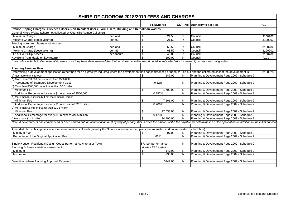| <b>SHIRE OF COOROW 2018/2019 FEES AND CHARGES</b>                                                                                                                                                                        |           |                          |                          |                |                                               |           |
|--------------------------------------------------------------------------------------------------------------------------------------------------------------------------------------------------------------------------|-----------|--------------------------|--------------------------|----------------|-----------------------------------------------|-----------|
|                                                                                                                                                                                                                          |           |                          | Fee/Charge               |                | <b>GST Incl.</b> Authority to set Fee         | <b>GL</b> |
| Refuse Tipping Charges - Business Users, Non-Resident Users, Farm Users, Building and Demolition Wastes                                                                                                                  |           |                          |                          |                |                                               |           |
| General Mixed Waste (where not collected by Council's Refuse Collector)                                                                                                                                                  |           |                          |                          |                |                                               |           |
|                                                                                                                                                                                                                          |           |                          |                          |                |                                               |           |
| Minimum Charge                                                                                                                                                                                                           | per load  | \$                       | 21.50                    | Υ              | Council                                       | 3100202   |
| Volume Charge (loose volume)                                                                                                                                                                                             | per m3    | $\overline{\mathcal{L}}$ | 21.50                    | $\overline{Y}$ | Council                                       | 3100202   |
| Fencing Wire (from farms or otherwise)                                                                                                                                                                                   |           |                          |                          |                |                                               |           |
| Minimum Charge                                                                                                                                                                                                           | per load  | \$                       | 63.50                    | Y              | Council                                       | 3100202   |
| Volume Charge (loose volume)                                                                                                                                                                                             | per m3    | $\overline{\mathcal{S}}$ | 63.50                    | $\overline{Y}$ | Council                                       | 3100202   |
| Out of Hours Tip Access                                                                                                                                                                                                  | per annum | \$                       | 43.00                    | Y              | Council                                       | 3100202   |
| Key Bond (refundable on key return) *                                                                                                                                                                                    |           | \$                       | 100.00                   | N              | Council                                       | T101      |
| * key only available to Commercial tip users once they have demonstrated that their business activities would be adversely affected if increased tip access was not granted                                              |           |                          |                          |                |                                               |           |
| <b>Planning Services Fees</b>                                                                                                                                                                                            |           |                          |                          |                |                                               |           |
| Determining a development application (other than for an extractive industry) where the development has not commenced or been carried out and the estimated cost of the development is:                                  |           |                          |                          |                |                                               | 3100620   |
| a) Not more than \$50,000                                                                                                                                                                                                |           | \$                       | 147.00                   | N              | Planning & Development Regs 2009 - Schedule 2 |           |
| b) More than \$50,000 but not more than \$500,000                                                                                                                                                                        |           |                          |                          |                |                                               |           |
| Percentage of Estimated Development Cost                                                                                                                                                                                 |           |                          | 0.32%                    | N              | Planning & Development Regs 2009 - Schedule 2 |           |
| c) More than \$500,000 but not more than \$2.5 million                                                                                                                                                                   |           |                          |                          |                |                                               |           |
| Minimum Fee                                                                                                                                                                                                              |           | \$                       | 1,700.00                 | N              | Planning & Development Regs 2009 - Schedule 2 |           |
| Additional Percentage for every \$1 in excess of \$500,000                                                                                                                                                               |           |                          | 0.257%                   | N              | Planning & Development Regs 2009 - Schedule 2 |           |
| d) More than \$2.5 million but not more than \$5 million                                                                                                                                                                 |           |                          |                          |                |                                               |           |
| Minimum Fee                                                                                                                                                                                                              |           | \$                       | 7,161.00                 | N              | Planning & Development Regs 2009 - Schedule 2 |           |
| Additional Percentage for every \$1 in excess of \$2.5 million                                                                                                                                                           |           |                          | 0.206%                   | N              | Planning & Development Regs 2009 - Schedule 2 |           |
| e) More than \$5 million but not than \$21.5 million                                                                                                                                                                     |           |                          |                          |                |                                               |           |
| Minimum Fee                                                                                                                                                                                                              |           | \$                       | 12,633.00                | N              | Planning & Development Regs 2009 - Schedule 2 |           |
| Additional Percentage for every \$1 in excess of \$5 million                                                                                                                                                             |           |                          | 0.123%                   | N              | Planning & Development Regs 2009 - Schedule 2 |           |
| f) More than \$21.5 million                                                                                                                                                                                              |           | \$                       | 34.196.00                | N              | Planning & Development Regs 2009 - Schedule 2 |           |
| Note: If development has commenced or been carried out, an additional amount by way of penalty, that is twice the amount of the fee payable for determination of the application (in addition to the initial application |           |                          |                          |                |                                               |           |
| Amended plans (this applies where a determination is already given by the Shire or where amended plans are submitted and not requested by the Shire)                                                                     |           |                          |                          |                |                                               |           |
| Minimum Fee                                                                                                                                                                                                              |           |                          | 97.00                    | N              | Planning & Development Regs 2009 - Schedule 2 |           |
|                                                                                                                                                                                                                          |           | \$                       | 66%                      |                |                                               |           |
| Percentage of the Original Application Fee                                                                                                                                                                               |           |                          |                          | N              | Planning & Development Regs 2009 - Schedule 2 |           |
| Single House - Residential Design Codes performance criteria or Town                                                                                                                                                     |           |                          | \$73 per performance     | N              | Planning & Development Regs 2009 - Schedule 2 |           |
| Planning Scheme variation assessment                                                                                                                                                                                     |           |                          | criteria / TPS variation |                |                                               |           |
| Minimum                                                                                                                                                                                                                  |           | \$                       | 147.00                   | N              | Planning & Development Regs 2009 - Schedule 2 |           |
| <b>Maximum</b>                                                                                                                                                                                                           |           | \$                       | 730.00                   | N              | Planning & Development Regs 2009 - Schedule 2 |           |
| Demolition where Planning Approval Required                                                                                                                                                                              |           |                          | \$147.00                 | N              | Planning & Development Regs 2009 - Schedule 2 |           |
|                                                                                                                                                                                                                          |           |                          |                          |                |                                               |           |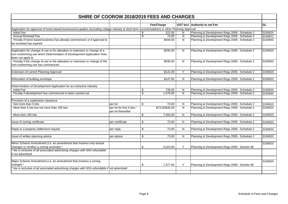| SHIRE OF COOROW 2018/2019 FEES AND CHARGES                                                                                                                                 |                                                  |                          |                 |                |                                               |           |
|----------------------------------------------------------------------------------------------------------------------------------------------------------------------------|--------------------------------------------------|--------------------------|-----------------|----------------|-----------------------------------------------|-----------|
|                                                                                                                                                                            |                                                  |                          | Fee/Charge      |                | GST Incl. Authority to set Fee                | <b>GL</b> |
| Application for approval of home based business/occupation (including cottage industry & short term accommodation) or other Planning Approval                              |                                                  |                          |                 |                |                                               |           |
| <b>Initial Fee</b>                                                                                                                                                         |                                                  | S.                       | 222.00          | N              | Planning & Development Regs 2009 - Schedule 2 | 3100620   |
| <b>Annual Renewal Fee</b>                                                                                                                                                  |                                                  | $\overline{\mathcal{E}}$ | 73.00           | ${\sf N}$      | Planning & Development Regs 2009 - Schedule 2 | 3100621   |
| Penalty if home based business has already commenced, or if approval to                                                                                                    |                                                  |                          | \$444.00        | N <sub>1</sub> | Planning & Development Regs 2009 - Schedule 2 | 3100640   |
| be renewed has expired                                                                                                                                                     |                                                  |                          |                 |                |                                               |           |
| Application for change of use or for alteration or extension or change of a<br>non-conforming use which Determination of Development Application Fees<br>does not apply to |                                                  |                          | \$295.00        | N              | Planning & Development Regs 2009 - Schedule 2 | 3100620   |
| Penalty if the change of use or the alteration or extension or change of the<br>non-conforming use has commenced                                                           |                                                  |                          | \$590.00        | N              | Planning & Development Regs 2009 - Schedule 2 | 3100640   |
| Extension of current Planning Approval                                                                                                                                     |                                                  |                          | \$131.00        | Y              | Planning & Development Regs 2009 - Schedule 2 | 3100620   |
| Relocation of building envelope                                                                                                                                            |                                                  |                          | \$147.00        | N              | Planning & Development Regs 2009 - Schedule 2 | 3100620   |
| Determination of Development Application for an extractive industry                                                                                                        |                                                  |                          |                 |                |                                               |           |
| <b>Initial Fee</b>                                                                                                                                                         |                                                  | \$                       | 739.00          | N              | Planning & Development Regs 2009 - Schedule 2 | 3100620   |
| Penalty if development has commenced or been carried out                                                                                                                   |                                                  | \$                       | 1,478.00        | N              | Planning & Development Regs 2009 - Schedule 2 | 3100640   |
| Provision of a subdivision clearance                                                                                                                                       |                                                  |                          |                 |                |                                               |           |
| Not more than 5 lots                                                                                                                                                       | per lot                                          | \$                       | 73.00           | N              | Planning & Development Regs 2009 - Schedule 2 | 3100620   |
| More than 5 lots but not more than 195 lots                                                                                                                                | per lot for first 5 lots /<br>per lot thereafter |                          | \$73.00/\$35.00 | N              | Planning & Development Regs 2009 - Schedule 2 | 3100620   |
| More than 195 lots                                                                                                                                                         |                                                  | \$                       | 7,393.00        | N              | Planning & Development Regs 2009 - Schedule 2 | 3100620   |
| Issue of zoning certificate                                                                                                                                                | per certificate                                  | \$                       | 73.00           | N              | Planning & Development Regs 2009 - Schedule 2 | 3100620   |
| Reply to a property settlement request                                                                                                                                     | per reply                                        | \$                       | 73.00           | N              | Planning & Development Regs 2009 - Schedule 2 | 3100620   |
| Issue of written planning advice                                                                                                                                           | per advice                                       | \$                       | 73.00           | N              | Planning & Development Regs 2009 - Schedule 2 | 3100620   |
| Minor Scheme Amendment (i.e. an amendment that involves only textual                                                                                                       |                                                  |                          |                 |                |                                               | 3100620   |
| changes or rectifies a zoning anomaly) *                                                                                                                                   |                                                  | \$                       | 4.023.00        | Y              | Planning & Development Regs 2009 - Section 48 |           |
| fee is inclusive of all associated advertising charges with 50% refundable<br>if not advertised                                                                            |                                                  |                          |                 |                |                                               |           |
| Major Scheme Amendment (i.e. an amendment that involves a zoning                                                                                                           |                                                  |                          |                 |                |                                               | 3100620   |
| change)<br>fee is inclusive of all associated advertising charges with 50% refundable if not advertised                                                                    |                                                  | \$                       | 7,377.00        | Y              | Planning & Development Regs 2009 - Section 48 |           |
|                                                                                                                                                                            |                                                  |                          |                 |                |                                               |           |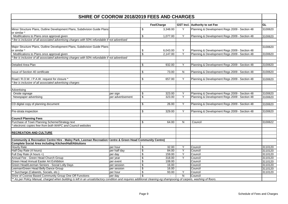| <b>SHIRE OF COOROW 2018/2019 FEES AND CHARGES</b>                                                                                                                   |                   |                          |            |           |                                               |         |
|---------------------------------------------------------------------------------------------------------------------------------------------------------------------|-------------------|--------------------------|------------|-----------|-----------------------------------------------|---------|
|                                                                                                                                                                     |                   |                          |            |           |                                               | GL      |
|                                                                                                                                                                     |                   |                          | Fee/Charge |           | GST Incl. Authority to set Fee                |         |
| Minor Structure Plans, Outline Development Plans, Subdivision Guide Plans<br>or similar *                                                                           |                   | \$                       | 3,348.00   | Y         | Planning & Development Regs 2009 - Section 48 | 3100620 |
| Modifications to Plans once approval given                                                                                                                          |                   | \$                       | 1,077.00   | Y         | Planning & Development Regs 2009 - Section 48 | 3100620 |
| fee is inclusive of all associated advertising charges with 50% refundable if not advertised                                                                        |                   |                          |            |           |                                               |         |
| Major Structure Plans, Outline Development Plans, Subdivision Guide Plans                                                                                           |                   |                          |            |           |                                               | 3100620 |
| or similar *                                                                                                                                                        |                   | \$                       | 6,043.00   | Y         | Planning & Development Regs 2009 - Section 48 |         |
| Modifications to Plans once approval given                                                                                                                          |                   | $\overline{\mathbf{S}}$  | 2,147.00   | Y         | Planning & Development Regs 2009 - Section 48 | 3100620 |
| fee is inclusive of all associated advertising charges with 50% refundable if not advertised                                                                        |                   |                          |            |           |                                               |         |
| Detailed Area Plan                                                                                                                                                  |                   | \$                       | 932.00     | Y         | Planning & Development Regs 2009 - Section 48 |         |
|                                                                                                                                                                     |                   |                          |            |           |                                               | 3100620 |
| <b>Issue of Section 40 certificate</b>                                                                                                                              |                   | \$                       | 73.00      | N         | Planning & Development Regs 2009 - Section 48 | 3100620 |
|                                                                                                                                                                     |                   |                          |            |           |                                               |         |
| Road / R.O.W. / P.A.W. request for closure *<br>fee is inclusive of all associated advertising charges                                                              |                   | \$                       | 657.00     | Υ         | Planning & Development Regs 2009 - Section 48 | 3100620 |
|                                                                                                                                                                     |                   |                          |            |           |                                               |         |
| Advertising                                                                                                                                                         |                   |                          |            |           |                                               |         |
| Onsite signage                                                                                                                                                      | per sign          | \$                       | 323.00     | Y         | Planning & Development Regs 2009 - Section 48 | 3100620 |
| Newspaper advertising                                                                                                                                               | per advertisement | $\overline{\mathcal{L}}$ | 323.00     | Υ         | Planning & Development Regs 2009 - Section 48 | 3100620 |
| CD digital copy of planning document                                                                                                                                |                   | \$                       | 26.00      | Y         | Planning & Development Regs 2009 - Section 48 | 3100620 |
| Pre-strata inspection                                                                                                                                               |                   | \$                       | 329.00     | Υ         | Planning & Development Regs 2009 - Section 48 | 3100620 |
|                                                                                                                                                                     |                   |                          |            |           |                                               |         |
| <b>Council Planning Fees</b>                                                                                                                                        |                   |                          |            |           |                                               |         |
| Purchase of Town Planning Scheme/Strategy text                                                                                                                      |                   | \$                       | 64.00      | ${\sf N}$ | Council                                       | 3100622 |
| electronic copies free from both WAPC and Council websites                                                                                                          |                   |                          |            |           |                                               |         |
| <b>RECREATION AND CULTURE</b>                                                                                                                                       |                   |                          |            |           |                                               |         |
| Community & Recreation Centre Hire - Maley Park, Leeman Recreation Centre & Green Head Community Centre)                                                            |                   |                          |            |           |                                               |         |
| <b>Complete Social Area including Kitchen/Hall/Ablutions</b>                                                                                                        |                   |                          |            |           |                                               |         |
| <b>Hourly Rate</b>                                                                                                                                                  | per hour          | \$                       | 32.00      | Y         | Council                                       | 3110120 |
| Half Day Rate (4 hours)                                                                                                                                             | per half day      | \$                       | 84.00      | Y         | Council                                       | 3110120 |
| Full Day Rate (4 hours +)                                                                                                                                           | per day           | \$                       | 159.00     | Y         | Council                                       | 3110120 |
| Annual Fee - Green Head Church Group                                                                                                                                | per year          | \$                       | 318.00     | Y         | Council                                       | 3110120 |
| Green Head Annual Easter Art Exhibition                                                                                                                             | per event         | \$                       | 108.00     |           | Council                                       | 3110120 |
| Green Head/Leeman Seniors - Social Lolly Days                                                                                                                       | per session       | \$                       | 16.00      |           | Council                                       | 3110120 |
| Leeman/Green Head Belly Dance Group                                                                                                                                 | per session       | \$                       | 16.00      |           | Council                                       | 3110120 |
| ** Surcharge (Cabarets, Socials, etc.)                                                                                                                              | per hour          | \$                       | 93.00      | Y         | Council                                       | 3110120 |
| Shire of Coorow Based Community Group One Off Functions                                                                                                             | per day           |                          |            | N         | Council                                       |         |
| ** As per Policy Manual, charged when building is left in an unsatisfactory condition and requires additional cleaning eg shampooing of carpets, washing of floors. |                   |                          |            |           |                                               |         |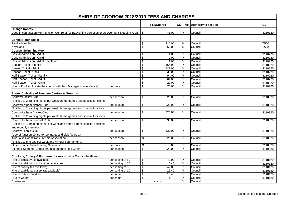| SHIRE OF COOROW 2018/2019 FEES AND CHARGES                                                          |                   |                         |            |                |                                |         |  |
|-----------------------------------------------------------------------------------------------------|-------------------|-------------------------|------------|----------------|--------------------------------|---------|--|
|                                                                                                     |                   |                         | Fee/Charge |                | GST Incl. Authority to set Fee | GL      |  |
| <b>Change Rooms</b>                                                                                 |                   |                         |            |                |                                |         |  |
| Used in conjunction with Function Centre or for Babysitting purposes or as Overnight Sleeping Area. |                   | -\$                     | 41.00      | Y              | Council                        | 3110120 |  |
|                                                                                                     |                   |                         |            |                |                                |         |  |
| <b>Bonds (Refundable)</b>                                                                           |                   |                         |            |                |                                |         |  |
| <b>Facility Hire Bond</b>                                                                           |                   | \$                      | 310.00     | N              | Council                        | T500    |  |
| Key Bond                                                                                            |                   | \$                      | 52.00      | N              | Council                        | T500    |  |
| <b>Coorow Swimming Pool</b>                                                                         |                   |                         |            |                |                                |         |  |
| <b>Casual Admission - Adult</b>                                                                     |                   | \$                      | 4.00       | Y              | Council                        | 3110220 |  |
| Casual Admission - Child                                                                            |                   | \$                      | 2.00       | Y              | Council                        | 3110220 |  |
| Casual Admission - Adult Spectator                                                                  |                   | \$                      | 1.00       | $\overline{Y}$ | Council                        | 3110220 |  |
| Season Ticket - Family                                                                              |                   | \$                      | 164.00     | Y              | Council                        | 3110220 |  |
| Season Ticket - Adult                                                                               |                   | \$                      | 121.00     | Y              | Council                        | 3110220 |  |
| Season Ticket - Child                                                                               |                   | \$                      | 38.00      | Y              | Council                        | 3110220 |  |
| Half Season Ticket - Family                                                                         |                   | \$                      | 94.00      | Y              | Council                        | 3110220 |  |
| Half Season Ticket - Adult                                                                          |                   | \$                      | 64.00      | $\overline{Y}$ | Council                        | 3110220 |  |
| Half Season Ticket - Child                                                                          |                   | \$                      | 22.00      | $\overline{Y}$ | Council                        | 3110220 |  |
| Hire of Pool for Private Functions (with Pool Manager in attendance)                                | per hour          | \$                      | 78.00      | $\overline{Y}$ | Council                        | 3110220 |  |
| <b>Sports Club Hire of Function Centres &amp; Grounds</b>                                           |                   |                         |            |                |                                |         |  |
| Coorow Hockey Club                                                                                  | per season        | \$                      | 320.00     | Y              | Council                        | 3110320 |  |
| (Entitled to 2 training nights per week, home games and special functions)                          |                   |                         |            |                |                                |         |  |
| Coorow Latham Netball Club                                                                          | per season        | \$                      | 320.00     | Y              | Council                        | 3110320 |  |
| (Entitled to 2 training nights per week, home games and special functions)                          |                   |                         |            |                |                                |         |  |
| Coorow Latham Cricket Club                                                                          | per season        | \$                      | 320.00     | Y              | Council                        | 3110320 |  |
| (Entitled to 2 training nights per week, home games and special functions)                          |                   |                         |            |                |                                |         |  |
| Coorow Latham Football Club                                                                         | per season        | \$                      | 530.00     | Y              | Council                        | 3110320 |  |
| (Entitled to 2 training nights per week and home games, special functions                           |                   |                         |            |                |                                |         |  |
| and monthly meetings.)                                                                              |                   |                         |            |                |                                |         |  |
| Coorow Tennis Club                                                                                  | per season        | \$                      | 530.00     | Y              | Council                        | 3110320 |  |
| (Use of function centre for pennants and club fixtures.)                                            |                   |                         |            |                |                                |         |  |
| <b>Turquoise Coast Table Tennis Association</b>                                                     | per season        | \$                      | 320.00     | Y              | Council                        | 3110320 |  |
| (Entitled to one day per week and Annual Tournament.)                                               |                   |                         |            |                |                                |         |  |
| Other Sports Clubs Training Sessions                                                                | per hour          | \$                      | 6.00       | Y              | Council                        | 3110320 |  |
| All other Sporting Groups that use Leeman Rec Centre                                                | per season        | \$                      | 320.00     | $\overline{Y}$ | Council                        | 3110320 |  |
|                                                                                                     |                   |                         |            |                |                                |         |  |
| Crockery, Cutlery & Furniture (for use outside Council facilities)                                  |                   |                         |            |                |                                |         |  |
| Hire of crockery (as available)                                                                     | per setting of 50 | \$                      | 42.00      | Y              | Council                        | 3110120 |  |
| Hire of additional crockery (as available)                                                          | per setting of 10 | $\overline{\mathbf{e}}$ | 16.40      | Y              | Council                        | 3110120 |  |
| Hire of cutlery (as available)                                                                      | per setting of 50 | $\overline{\mathbf{e}}$ | 42.00      | Y              | Council                        | 3110120 |  |
| Hire of additional cutlery (as available)                                                           | per setting of 10 | \$                      | 16.40      | $\overline{Y}$ | Council                        | 3110120 |  |
| <b>Hire of Tables/Trestles</b>                                                                      | per table         | \$                      | 16.40      | Y              | Council                        | 3110120 |  |
| Hire of Chairs                                                                                      | per chair         | \$                      | 1.70       | Y              | Council                        | 3110120 |  |
| <b>Breakages</b>                                                                                    |                   |                         | at cost    | $\overline{Y}$ | Council                        |         |  |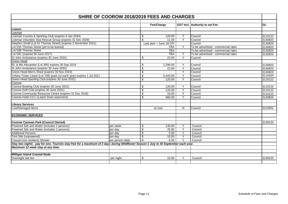| <b>SHIRE OF COOROW 2018/2019 FEES AND CHARGES</b>                                                                                    |                  |                 |                          |                |                                     |           |  |
|--------------------------------------------------------------------------------------------------------------------------------------|------------------|-----------------|--------------------------|----------------|-------------------------------------|-----------|--|
|                                                                                                                                      |                  |                 | Fee/Charge               |                | GST Incl. Authority to set Fee      | <b>GL</b> |  |
| Leases                                                                                                                               |                  |                 |                          |                |                                     |           |  |
| -eeman                                                                                                                               |                  |                 |                          |                |                                     |           |  |
| Leeman Country & Sporting Club (expires 6 Jan 2034)                                                                                  |                  | \$              | 120.00                   | Y              | Council                             | 3110122   |  |
| Leeman Volunteer Sea Rescue Group (expires 31 Dec 2029)                                                                              |                  | \$              | 11.00                    | $\overline{Y}$ | Council                             | 3130820   |  |
| Stephen Small (Lot 52 Thomas Street) (expires 3 November 2021)                                                                       |                  |                 | Last year + June 18 CPI  |                | Council                             | 3130820   |  |
| Lot 53A Thomas Street (yet to be leased)                                                                                             |                  |                 | <b>TBA</b>               | Y              | To be advertised - commercial rates | 3130820   |  |
| Lot 53B Thomas Street                                                                                                                |                  |                 | <b>TBA</b>               |                | To be advertised - commercial rates | 3130820   |  |
| Lot 53C (expired 30 June 2017)                                                                                                       |                  |                 | <b>TBA</b>               | Y              | To be advertised - commercial rates | 3130820   |  |
| St John Ambulance (expires 30 June 2032)                                                                                             |                  | \$              | 22.00                    | Y              | Council                             |           |  |
| Green Head                                                                                                                           |                  |                 |                          |                |                                     |           |  |
| RL & MA Alexander (Lot 395) expires 30 Sep 2019                                                                                      |                  | \$              | 2,296.00                 | Y              | Council                             | 3130820   |  |
| St John Ambulance (expires 30 June 2032)                                                                                             |                  | \$              | 22.00                    | $\overline{Y}$ | Council                             | 3130820   |  |
| Green Head Men's Shed (expires 30 Nov 2023)                                                                                          |                  | \$              | $\overline{\phantom{0}}$ | Y              | Council                             | 3130820   |  |
| Telstra Tower Lease (Lot 709) (paid Jul each year) expires 1 Jul 2021                                                                |                  | \$              | 5,443.00                 | Y              | Council                             | 3110420   |  |
| Green Head Sporting Club (expires 30 June 2031)                                                                                      |                  | \$              | 120.00                   | $\overline{Y}$ | Council                             | 3110122   |  |
| Coorow                                                                                                                               |                  |                 |                          |                |                                     |           |  |
| Coorow Bowling Club (expires 30 June 2031)                                                                                           |                  | \$              | 120.00                   | Y              | Council                             | 3110122   |  |
| Coorow Golf Club (expires 30 June 2031)                                                                                              |                  | \$              | 120.00                   | $\overline{Y}$ | Council                             | 3110122   |  |
| Coorow Community Resource Centre (expires 31 Dec 2018)                                                                               |                  | \$              | 16.00                    | Y              | Council                             | 3110122   |  |
| Coorow Hotel CCLI (Leach Drain easement)                                                                                             |                  | \$              | 660.00                   | Y              | Council                             | 3130820   |  |
|                                                                                                                                      |                  |                 |                          |                |                                     |           |  |
| <b>Library Services</b>                                                                                                              |                  |                 |                          |                |                                     |           |  |
| Lost/Damaged Items                                                                                                                   |                  |                 | at cost                  | N              | Council                             | 3110501   |  |
|                                                                                                                                      |                  |                 |                          |                |                                     |           |  |
| <b>ECONOMIC SERVICES</b>                                                                                                             |                  |                 |                          |                |                                     |           |  |
|                                                                                                                                      |                  |                 |                          |                |                                     |           |  |
| <b>Coorow Caravan Park (Council Owned)</b>                                                                                           |                  |                 |                          |                |                                     | 3130220   |  |
| Powered Site and Water (includes 2 persons)                                                                                          | per week         | \$              | 135.00                   | Y              | Council                             |           |  |
| Powered Site and Water (includes 2 persons)                                                                                          | per day          | $\overline{\$}$ | 25.00                    | $\overline{Y}$ | Council                             |           |  |
| <b>Additional Persons</b>                                                                                                            | per day          | \$              | 5.00                     | Y              | Council                             |           |  |
| Tent Site (unpowered)                                                                                                                | per day          | \$              | 10.00                    | Y              | Council                             |           |  |
| Casual (non resident) Shower                                                                                                         | per person daily | \$              | 6.00                     | Y              | Council                             |           |  |
| Stay two nights - pay for one. Tourists stay free for a maximum of 2 days during Wildflower Season 1 July to 30 September each year. |                  |                 |                          |                |                                     |           |  |
| Maximum 12 week stay at any time.                                                                                                    |                  |                 |                          |                |                                     |           |  |
|                                                                                                                                      |                  |                 |                          |                |                                     |           |  |
| <b>Milligan Island Coastal Node</b>                                                                                                  |                  |                 |                          | Y              |                                     |           |  |
| Overnight site fee                                                                                                                   | per night        | \$              | 15.00                    |                | Council                             | 3130220   |  |
|                                                                                                                                      |                  |                 |                          |                |                                     |           |  |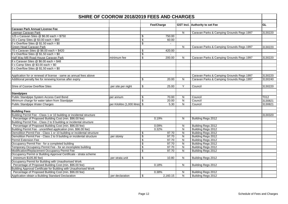| SHIRE OF COOROW 2018/2019 FEES AND CHARGES                             |                                 |                 |                          |                         |                                           |           |  |  |
|------------------------------------------------------------------------|---------------------------------|-----------------|--------------------------|-------------------------|-------------------------------------------|-----------|--|--|
|                                                                        |                                 |                 | Fee/Charge               |                         | GST Incl. Authority to set Fee            | <b>GL</b> |  |  |
| <b>Caravan Park Annual License Fee</b>                                 |                                 |                 |                          |                         |                                           |           |  |  |
| Leeman Caravan Park                                                    |                                 |                 |                          | N                       | Caravan Parks & Camping Grounds Regs 1997 | 3130220   |  |  |
| 125 x Caravan Sites @ \$6.00 each = \$750                              |                                 | \$              | 750.00                   |                         |                                           |           |  |  |
| 20 x Camp Sites @ \$3.00 each = \$60                                   |                                 | \$              | 60.00                    |                         |                                           |           |  |  |
| 0 x Overflow Sites $@$1.50$ each = \$0                                 |                                 | \$              | $\overline{\phantom{a}}$ |                         |                                           |           |  |  |
| Green Head Caravan Park                                                |                                 |                 |                          | N                       | Caravan Parks & Camping Grounds Regs 1997 | 3130220   |  |  |
| 70 x Caravan Sites @ \$6.00 each = \$420                               |                                 | \$              | 420.00                   |                         |                                           |           |  |  |
| 0 x Overflow Sites @ $$1.50$ each = $$0$                               |                                 | \$              |                          |                         |                                           |           |  |  |
| Half Way Mill Road House Caravan Park                                  | minimum fee                     | \$              | 200.00                   | N                       | Caravan Parks & Camping Grounds Regs 1997 | 3130220   |  |  |
| 8 x Caravan Sites $@$ \$6.00 each = \$48                               |                                 |                 |                          |                         |                                           |           |  |  |
| $0 \times$ Camp Sites @ \$3.00 each = \$0                              |                                 |                 |                          |                         |                                           |           |  |  |
| 0 x Overflow Sites @ $$1.50$ each = $$0$                               |                                 |                 |                          |                         |                                           |           |  |  |
| Application for or renewal of license - same as annual fees above      |                                 |                 |                          |                         | Caravan Parks & Camping Grounds Regs 1997 | 3130220   |  |  |
| Additional penalty fee for renewing license after expiry               |                                 | \$              | 20.00                    | N                       | Caravan Parks & Camping Grounds Regs 1997 | 3130240   |  |  |
|                                                                        |                                 |                 |                          |                         |                                           |           |  |  |
| Shire of Coorow Overflow Sites                                         | per site per night              | \$              | 25.00                    | $\overline{Y}$          | Council                                   | 3130220   |  |  |
| <b>Standpipes</b>                                                      |                                 |                 |                          |                         |                                           |           |  |  |
| Public Standpipe System Access Card Bond                               | per annum                       | \$              | 70.00                    | N                       | Council                                   | T012      |  |  |
| Minimum charge for water taken from Standpipe                          |                                 | \$              | 20.00                    | $\overline{\mathsf{N}}$ | Council                                   | 3130821   |  |  |
| <b>Public Standpipe Water Charges</b>                                  | per Kilolitre (1,000 litres) \$ |                 | 5.30                     | ${\sf N}$               | Council                                   | 3130821   |  |  |
| <b>Building Fees</b>                                                   |                                 |                 |                          |                         |                                           |           |  |  |
| Building Permit Fee - Class 1 or 10 building or incidental structure   |                                 |                 |                          |                         |                                           | 3130320   |  |  |
| Percentage of Proposed Building Cost (min. \$96.00 fee)                |                                 |                 | 0.19%                    | N                       | Building Regs 2012                        |           |  |  |
| Building Permit Fee - Class 2 to 9 building or incidental structure    |                                 |                 |                          |                         |                                           |           |  |  |
| Percentage of Proposed Building Cost (min. \$96.00 fee)                |                                 |                 | 0.09%                    | N                       | Building Regs 2012                        |           |  |  |
| Building Permit Fee - uncertified application (min. \$96.00 fee)       |                                 |                 | 0.32%                    | N                       | Building Regs 2012                        |           |  |  |
| Demolition Permit Fee - Class 1 or 10 building or incidental structure |                                 | \$              | 97.70                    | ${\sf N}$               | Building Regs 2012                        |           |  |  |
| Demolition Permit Fee - Class 2 to 9 building or incidental structure  | per storey                      | $\overline{\$}$ | 97.70                    | N                       | Building Regs 2012                        |           |  |  |
| Permit Extension Fee                                                   |                                 | \$              | 97.70                    | N                       | Building Regs 2012                        |           |  |  |
| Occupancy Permit Fee - for a completed building                        |                                 | \$              | 97.70                    | N                       | Building Regs 2012                        |           |  |  |
| Temporary Occupancy Permit Fee - for an incomplete building            |                                 | \$              | 97.70                    | N                       | Building Regs 2012                        |           |  |  |
| Modification/Replacement Occupancy Permit Fee                          |                                 | \$              | 97.70                    | N                       | Building Regs 2012                        |           |  |  |
| Occupancy Permit or Building Approval Certificate - strata scheme      |                                 |                 |                          |                         |                                           |           |  |  |
| (minimum \$105.80 fee)                                                 | per strata unit                 | \$              | 10.80                    | N                       | Building Regs 2012                        |           |  |  |
| Occupancy Permit for Building with Unauthorised Work                   |                                 |                 |                          |                         |                                           |           |  |  |
| Percentage of Proposed Building Cost (min. \$96.00 fee)                |                                 |                 | 0.18%                    | N                       | Building Regs 2012                        |           |  |  |
| Building Approval Certificate for Building with Unauthorised Work      |                                 |                 |                          |                         |                                           |           |  |  |
| Percentage of Proposed Building Cost (min. \$96.00 fee)                |                                 |                 | 0.38%                    | N                       | Building Regs 2012                        |           |  |  |
| Application obtain a Building Standard Declaration                     | per declaration                 | \$              | 2,160.15                 | N                       | Building Regs 2012                        |           |  |  |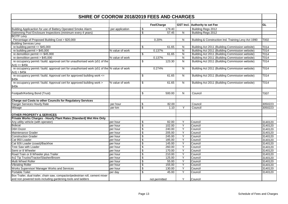| <b>SHIRE OF COOROW 2018/2019 FEES AND CHARGES</b>                                            |                 |                           |               |                         |                                                     |                   |  |
|----------------------------------------------------------------------------------------------|-----------------|---------------------------|---------------|-------------------------|-----------------------------------------------------|-------------------|--|
|                                                                                              |                 |                           | Fee/Charge    |                         | GST Incl. Authority to set Fee                      | <b>GL</b>         |  |
| Building Applicaction for use of Battery Operated Smoke Alarm                                | per application | \$                        | 179.40        |                         | Building Regs 2012                                  |                   |  |
| Swimming Pool Enclosure Inspections (minimum every 4 years)                                  |                 | \$                        | 57.45         | N                       | Building Regs 2012                                  |                   |  |
| <b>BCITF Levy</b>                                                                            |                 |                           |               |                         |                                                     |                   |  |
| Percentage of Proposed Building Cost > \$20,000                                              |                 |                           | 0.20%         | N                       | Building & Construction Ind. Training Levy Act 1990 | T002              |  |
| <b>Building Services Levy</b>                                                                |                 |                           |               |                         |                                                     |                   |  |
| re building permit $\leq$ \$45,000                                                           |                 | \$                        | 61.65         | N                       | Building Act 2011 (Building Commission website)     | T014              |  |
| re building permit > \$45,000                                                                | % value of work |                           | 0.137%        | ${\sf N}$               | Building Act 2011 (Building Commission website)     | T014              |  |
| re demolition permit $\leq$ \$45,000                                                         |                 | \$                        | 61.65         | N                       | Building Act 2011 (Building Commission website)     | $\overline{T014}$ |  |
| re demolition permit > \$45,000                                                              | % value of work |                           | 0.137%        | $\mathsf{N}$            | Building Act 2011 (Building Commission website)     | $\overline{T014}$ |  |
| re occupancy permit / build. approval cert for unauthorised work (s51 of the                 |                 | $\overline{\$}$           | 123.30        | ${\sf N}$               | Building Act 2011 (Building Commission website)     | T014              |  |
| $Act$ ) <= \$45 $k$                                                                          |                 |                           |               |                         |                                                     |                   |  |
| re occupancy permit / build. approval cert for unauthorised work (s51 of the % value of work |                 |                           | 0.274%        | ${\sf N}$               | Building Act 2011 (Building Commission website)     | T014              |  |
| Act) > \$45k                                                                                 |                 |                           |               |                         |                                                     |                   |  |
| re occupancy permit / build. Approval cert for approved building work <=                     |                 | \$                        | 61.65         | N                       | Building Act 2011 (Building Commission website)     | T014              |  |
|                                                                                              |                 |                           |               |                         |                                                     |                   |  |
| \$45k<br>re occupancy permit / build. Approval cert for approved building work >             | % value of work | \$                        | 61.65         | N                       | Building Act 2011 (Building Commission website)     | T014              |  |
|                                                                                              |                 |                           |               |                         |                                                     |                   |  |
| \$45k                                                                                        |                 |                           |               |                         |                                                     |                   |  |
| Footpath/Kerbing Bond (Trust)                                                                |                 | \$                        | 500.00        | N                       | Council                                             | T007              |  |
|                                                                                              |                 |                           |               |                         |                                                     |                   |  |
| Charge out Costs to other Councils for Regulatory Services                                   |                 |                           |               |                         |                                                     |                   |  |
| Ranger Services Hourly Rate                                                                  | per hour        | \$                        | 82.00         |                         | Council                                             | 3050223           |  |
|                                                                                              |                 | $\boldsymbol{\mathsf{S}}$ | 1.10          | Y                       | Council                                             | 3050223           |  |
| Mileage                                                                                      | per km          |                           |               |                         |                                                     |                   |  |
| <b>OTHER PROPERTY &amp; SERVICES</b>                                                         |                 |                           |               |                         |                                                     |                   |  |
| Private Works Charges - Hourly Plant Rates (Standard) Wet Hire Only                          |                 |                           |               |                         |                                                     |                   |  |
| Any utility vehicle (with operator)                                                          | per hour        | \$                        | 82.00         | Υ                       | Council                                             | 3140120           |  |
| <b>Bobcat</b>                                                                                | per hour        | \$                        | 102.00        | Υ                       | Council                                             | 3140120           |  |
| D6H Dozer                                                                                    | per hour        | $\overline{\$}$           | 240.00        | $\overline{Y}$          | Council                                             | 3140120           |  |
| Maintenance Grader                                                                           | per hour        | \$                        | 205.00        | $\overline{Y}$          | Council                                             | 3140120           |  |
| <b>Construction Grader</b>                                                                   | per hour        | $\overline{\mathbf{S}}$   | 245.00        | Y                       | Council                                             | 3140120           |  |
| Cat 950 Loader                                                                               | per hour        | $\overline{\mathbf{S}}$   | 185.00        | $\overline{Y}$          | Council                                             | 3140120           |  |
| Cat 926 Loader (coast)/Backhoe                                                               | per hour        | \$                        | 145.00        | Y                       | Council                                             | 3140120           |  |
| <b>Tree Saw with Loader</b>                                                                  | per hour        | $\overline{\$}$           | 260.00        | $\overline{\mathsf{Y}}$ | Council                                             | 3140120           |  |
| Semi or 8 Wheeler                                                                            | per hour        | \$                        | 170.00        | $\overline{\mathsf{Y}}$ | Council                                             | 3140120           |  |
| Road Train or 8 Wheeler plus Trailer                                                         | per hour        | \$                        | 210.00        | $\overline{Y}$          | Council                                             | 3140120           |  |
| 4x2 Tip Trucks/Tractor/Slasher/Broom                                                         |                 | $\overline{\mathcal{S}}$  | 125.00        | $\overline{Y}$          | Council                                             |                   |  |
| Multi Wheel Roller                                                                           | per hour        |                           | 55.00         |                         |                                                     | 3140120           |  |
|                                                                                              | per hour        | \$                        |               | Y                       | Council                                             | 3140120           |  |
| <b>Vibrating Roller</b>                                                                      | per hour        | $\overline{\mathbf{e}}$   | 155.00        | Y                       | Council                                             | 3140120           |  |
| Works Supervisor/ Manager Works and Services                                                 | per hour        | \$                        | 130.00        | Y                       | Council                                             | 3140120           |  |
| Portable Toilet                                                                              | per day         | \$                        | 45.00         | Y                       | Council                                             | 3140120           |  |
| Box Trailer, dual trailer, chain saw, compactor/pedestrian roll, cement mixer                |                 |                           |               |                         |                                                     |                   |  |
| and non powered tools including gardening tools and ladders                                  |                 |                           | not permitted | Y                       | Council                                             |                   |  |